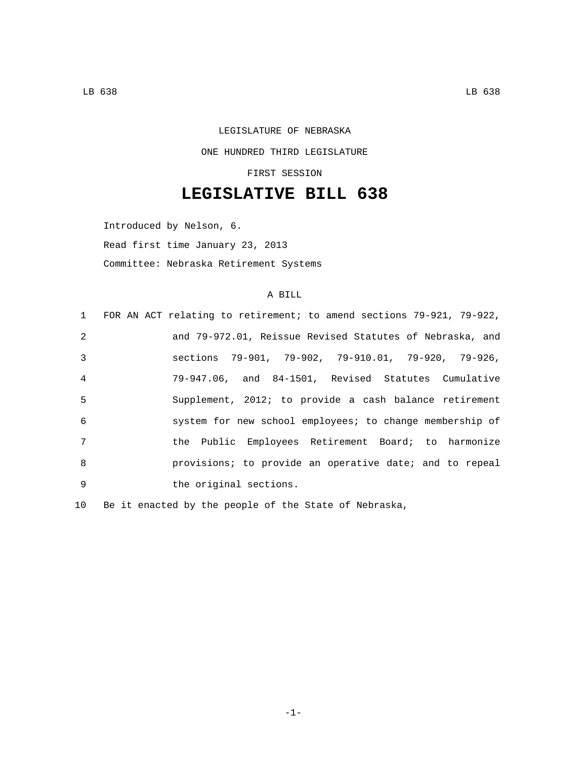## LEGISLATURE OF NEBRASKA ONE HUNDRED THIRD LEGISLATURE FIRST SESSION

## **LEGISLATIVE BILL 638**

Introduced by Nelson, 6. Read first time January 23, 2013 Committee: Nebraska Retirement Systems

## A BILL

|                | 1 FOR AN ACT relating to retirement; to amend sections 79-921, 79-922, |
|----------------|------------------------------------------------------------------------|
| 2              | and 79-972.01, Reissue Revised Statutes of Nebraska, and               |
| $\mathcal{E}$  | sections 79-901, 79-902, 79-910.01, 79-920, 79-926,                    |
| $\overline{4}$ | 79-947.06, and 84-1501, Revised Statutes Cumulative                    |
| -5             | Supplement, 2012; to provide a cash balance retirement                 |
| 6              | system for new school employees; to change membership of               |
| 7              | the Public Employees Retirement Board; to harmonize                    |
| 8              | provisions; to provide an operative date; and to repeal                |
| $\mathsf{Q}$   | the original sections.                                                 |

10 Be it enacted by the people of the State of Nebraska,

-1-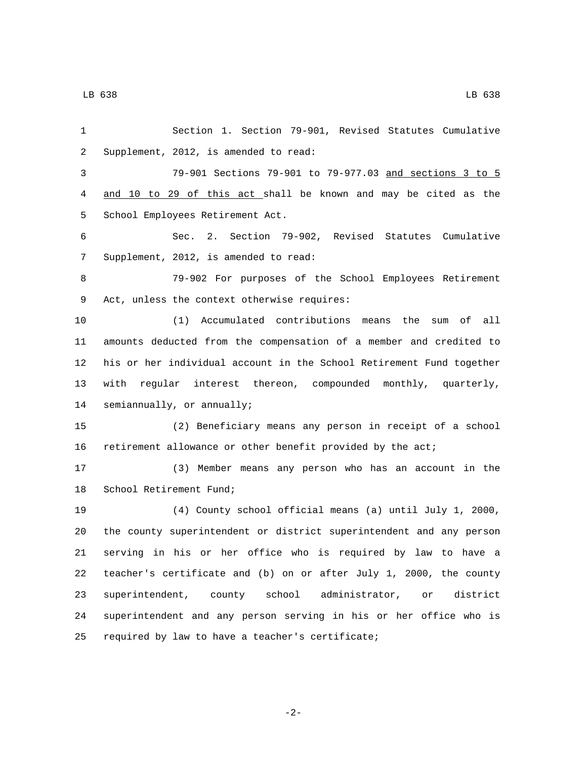Section 1. Section 79-901, Revised Statutes Cumulative 2 Supplement, 2012, is amended to read: 79-901 Sections 79-901 to 79-977.03 and sections 3 to 5 and 10 to 29 of this act shall be known and may be cited as the 5 School Employees Retirement Act. Sec. 2. Section 79-902, Revised Statutes Cumulative 7 Supplement, 2012, is amended to read: 79-902 For purposes of the School Employees Retirement 9 Act, unless the context otherwise requires: (1) Accumulated contributions means the sum of all amounts deducted from the compensation of a member and credited to his or her individual account in the School Retirement Fund together with regular interest thereon, compounded monthly, quarterly, 14 semiannually, or annually; (2) Beneficiary means any person in receipt of a school retirement allowance or other benefit provided by the act; (3) Member means any person who has an account in the 18 School Retirement Fund; (4) County school official means (a) until July 1, 2000, the county superintendent or district superintendent and any person serving in his or her office who is required by law to have a teacher's certificate and (b) on or after July 1, 2000, the county superintendent, county school administrator, or district

25 required by law to have a teacher's certificate;

-2-

superintendent and any person serving in his or her office who is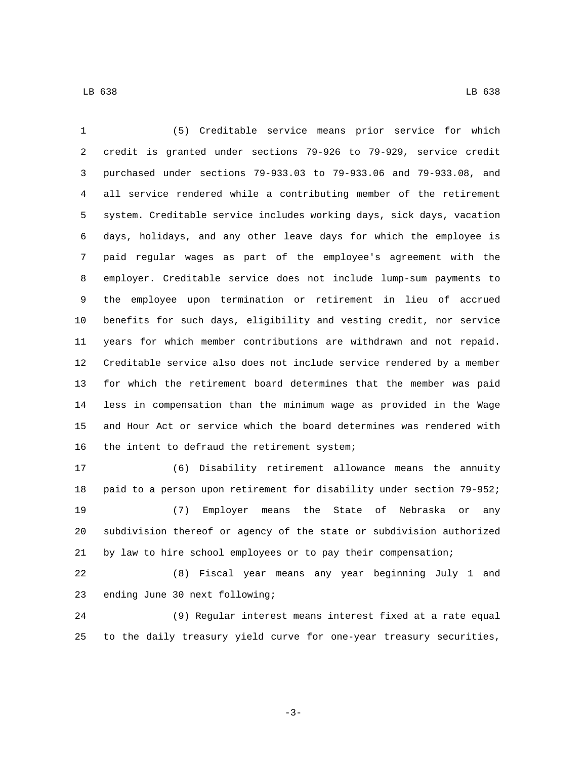(5) Creditable service means prior service for which credit is granted under sections 79-926 to 79-929, service credit purchased under sections 79-933.03 to 79-933.06 and 79-933.08, and all service rendered while a contributing member of the retirement system. Creditable service includes working days, sick days, vacation days, holidays, and any other leave days for which the employee is paid regular wages as part of the employee's agreement with the employer. Creditable service does not include lump-sum payments to the employee upon termination or retirement in lieu of accrued benefits for such days, eligibility and vesting credit, nor service years for which member contributions are withdrawn and not repaid. Creditable service also does not include service rendered by a member for which the retirement board determines that the member was paid less in compensation than the minimum wage as provided in the Wage and Hour Act or service which the board determines was rendered with 16 the intent to defraud the retirement system;

 (6) Disability retirement allowance means the annuity paid to a person upon retirement for disability under section 79-952; (7) Employer means the State of Nebraska or any subdivision thereof or agency of the state or subdivision authorized by law to hire school employees or to pay their compensation;

 (8) Fiscal year means any year beginning July 1 and 23 ending June 30 next following;

 (9) Regular interest means interest fixed at a rate equal to the daily treasury yield curve for one-year treasury securities,

-3-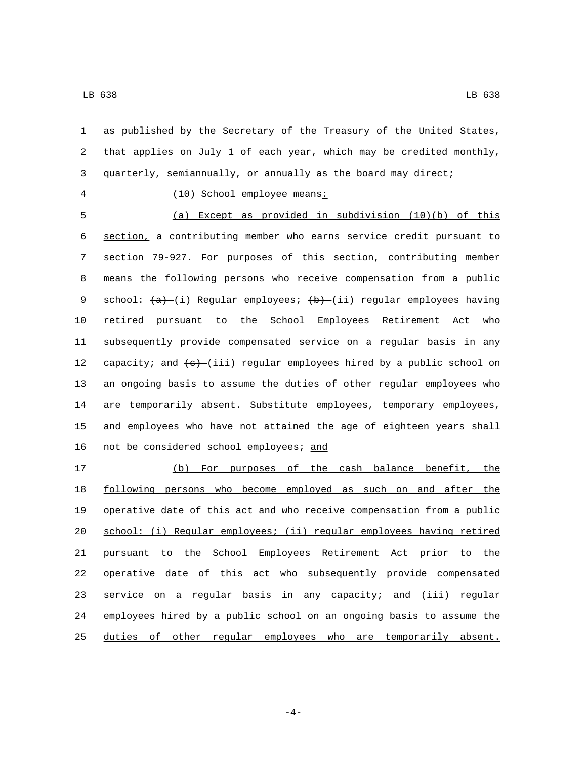as published by the Secretary of the Treasury of the United States, that applies on July 1 of each year, which may be credited monthly, quarterly, semiannually, or annually as the board may direct; 4 (10) School employee means: (a) Except as provided in subdivision (10)(b) of this section, a contributing member who earns service credit pursuant to section 79-927. For purposes of this section, contributing member means the following persons who receive compensation from a public 9 school:  $(a)$  (i) Regular employees;  $(b)$  (ii) regular employees having retired pursuant to the School Employees Retirement Act who subsequently provide compensated service on a regular basis in any 12 capacity; and  $(e)$ -(iii) regular employees hired by a public school on an ongoing basis to assume the duties of other regular employees who are temporarily absent. Substitute employees, temporary employees, and employees who have not attained the age of eighteen years shall 16 not be considered school employees; and (b) For purposes of the cash balance benefit, the

 following persons who become employed as such on and after the operative date of this act and who receive compensation from a public school: (i) Regular employees; (ii) regular employees having retired pursuant to the School Employees Retirement Act prior to the operative date of this act who subsequently provide compensated 23 service on a regular basis in any capacity; and (iii) regular employees hired by a public school on an ongoing basis to assume the duties of other regular employees who are temporarily absent.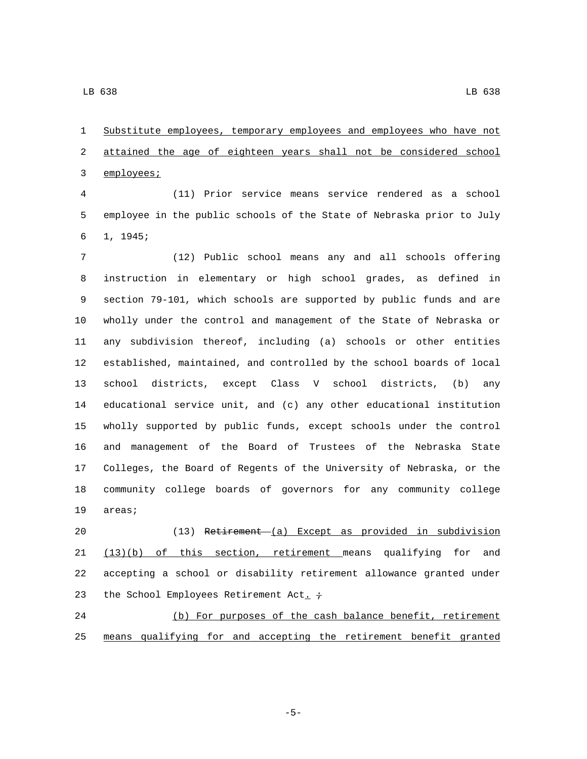Substitute employees, temporary employees and employees who have not attained the age of eighteen years shall not be considered school 3 employees;

 (11) Prior service means service rendered as a school employee in the public schools of the State of Nebraska prior to July 1, 1945;6

 (12) Public school means any and all schools offering instruction in elementary or high school grades, as defined in section 79-101, which schools are supported by public funds and are wholly under the control and management of the State of Nebraska or any subdivision thereof, including (a) schools or other entities established, maintained, and controlled by the school boards of local school districts, except Class V school districts, (b) any educational service unit, and (c) any other educational institution wholly supported by public funds, except schools under the control and management of the Board of Trustees of the Nebraska State Colleges, the Board of Regents of the University of Nebraska, or the community college boards of governors for any community college 19 areas;

 (13) Retirement (a) Except as provided in subdivision (13)(b) of this section, retirement means qualifying for and accepting a school or disability retirement allowance granted under 23 the School Employees Retirement Act.  $\div$ 

 (b) For purposes of the cash balance benefit, retirement means qualifying for and accepting the retirement benefit granted

-5-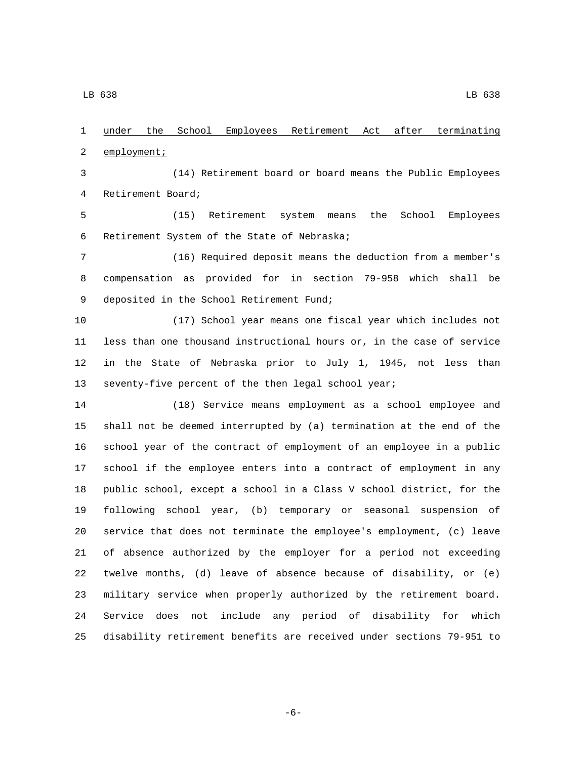under the School Employees Retirement Act after terminating 2 employment; (14) Retirement board or board means the Public Employees 4 Retirement Board; (15) Retirement system means the School Employees 6 Retirement System of the State of Nebraska; (16) Required deposit means the deduction from a member's compensation as provided for in section 79-958 which shall be 9 deposited in the School Retirement Fund; (17) School year means one fiscal year which includes not less than one thousand instructional hours or, in the case of service in the State of Nebraska prior to July 1, 1945, not less than seventy-five percent of the then legal school year; (18) Service means employment as a school employee and shall not be deemed interrupted by (a) termination at the end of the school year of the contract of employment of an employee in a public school if the employee enters into a contract of employment in any public school, except a school in a Class V school district, for the following school year, (b) temporary or seasonal suspension of service that does not terminate the employee's employment, (c) leave of absence authorized by the employer for a period not exceeding twelve months, (d) leave of absence because of disability, or (e) military service when properly authorized by the retirement board. Service does not include any period of disability for which

-6-

disability retirement benefits are received under sections 79-951 to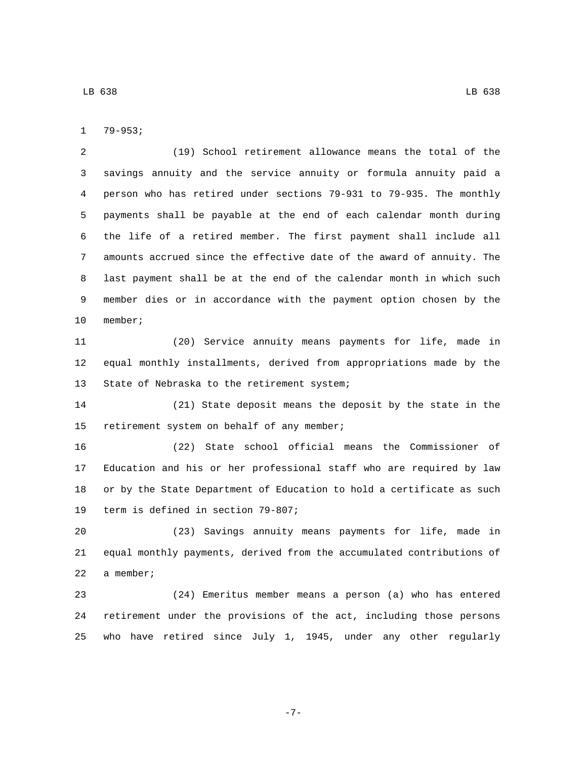79-953;

 (19) School retirement allowance means the total of the savings annuity and the service annuity or formula annuity paid a person who has retired under sections 79-931 to 79-935. The monthly payments shall be payable at the end of each calendar month during the life of a retired member. The first payment shall include all amounts accrued since the effective date of the award of annuity. The last payment shall be at the end of the calendar month in which such member dies or in accordance with the payment option chosen by the 10 member;

 (20) Service annuity means payments for life, made in equal monthly installments, derived from appropriations made by the 13 State of Nebraska to the retirement system;

 (21) State deposit means the deposit by the state in the 15 retirement system on behalf of any member;

 (22) State school official means the Commissioner of Education and his or her professional staff who are required by law or by the State Department of Education to hold a certificate as such 19 term is defined in section 79-807;

 (23) Savings annuity means payments for life, made in equal monthly payments, derived from the accumulated contributions of 22 a member;

 (24) Emeritus member means a person (a) who has entered retirement under the provisions of the act, including those persons who have retired since July 1, 1945, under any other regularly

-7-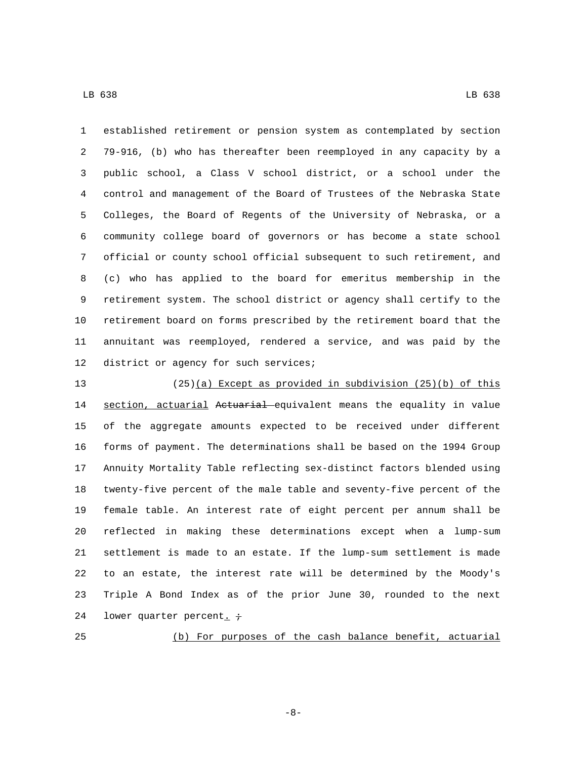established retirement or pension system as contemplated by section 79-916, (b) who has thereafter been reemployed in any capacity by a public school, a Class V school district, or a school under the control and management of the Board of Trustees of the Nebraska State Colleges, the Board of Regents of the University of Nebraska, or a community college board of governors or has become a state school official or county school official subsequent to such retirement, and (c) who has applied to the board for emeritus membership in the retirement system. The school district or agency shall certify to the retirement board on forms prescribed by the retirement board that the annuitant was reemployed, rendered a service, and was paid by the 12 district or agency for such services;

 (25)(a) Except as provided in subdivision (25)(b) of this 14 section, actuarial Actuarial equivalent means the equality in value of the aggregate amounts expected to be received under different forms of payment. The determinations shall be based on the 1994 Group Annuity Mortality Table reflecting sex-distinct factors blended using twenty-five percent of the male table and seventy-five percent of the female table. An interest rate of eight percent per annum shall be reflected in making these determinations except when a lump-sum settlement is made to an estate. If the lump-sum settlement is made to an estate, the interest rate will be determined by the Moody's Triple A Bond Index as of the prior June 30, rounded to the next 24 lower quarter percent.  $\dot{\tau}$ 

(b) For purposes of the cash balance benefit, actuarial

-8-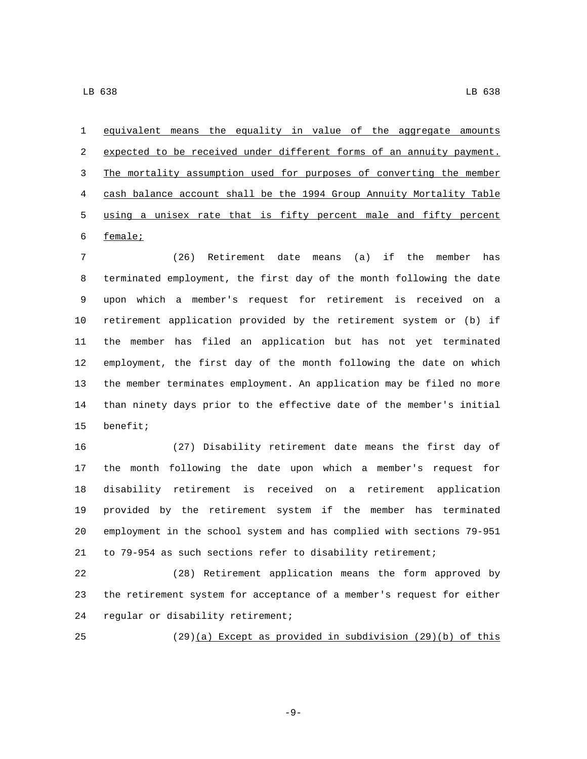equivalent means the equality in value of the aggregate amounts expected to be received under different forms of an annuity payment. The mortality assumption used for purposes of converting the member cash balance account shall be the 1994 Group Annuity Mortality Table using a unisex rate that is fifty percent male and fifty percent 6 female;

 (26) Retirement date means (a) if the member has terminated employment, the first day of the month following the date upon which a member's request for retirement is received on a retirement application provided by the retirement system or (b) if the member has filed an application but has not yet terminated employment, the first day of the month following the date on which the member terminates employment. An application may be filed no more than ninety days prior to the effective date of the member's initial 15 benefit;

 (27) Disability retirement date means the first day of the month following the date upon which a member's request for disability retirement is received on a retirement application provided by the retirement system if the member has terminated employment in the school system and has complied with sections 79-951 to 79-954 as such sections refer to disability retirement;

 (28) Retirement application means the form approved by the retirement system for acceptance of a member's request for either 24 regular or disability retirement;

(29)(a) Except as provided in subdivision (29)(b) of this

-9-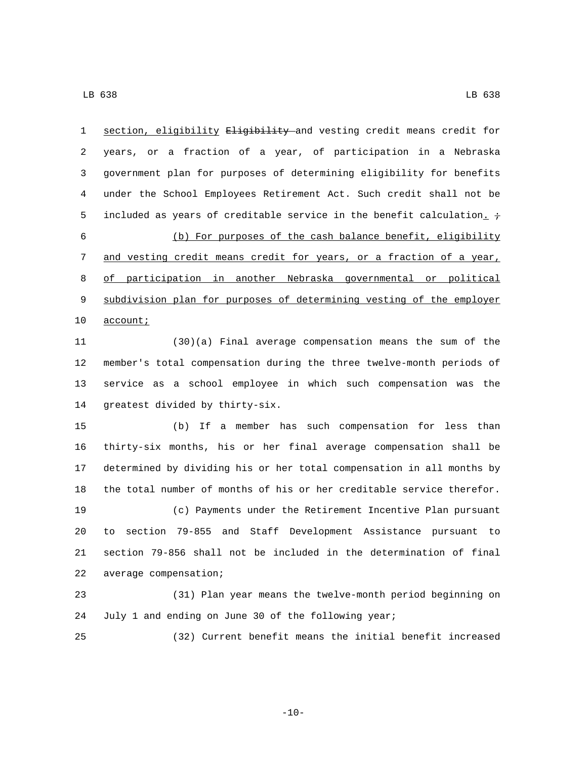section, eligibility Eligibility and vesting credit means credit for years, or a fraction of a year, of participation in a Nebraska government plan for purposes of determining eligibility for benefits under the School Employees Retirement Act. Such credit shall not be 5 included as years of creditable service in the benefit calculation.  $\div$  (b) For purposes of the cash balance benefit, eligibility 7 and vesting credit means credit for years, or a fraction of a year, of participation in another Nebraska governmental or political subdivision plan for purposes of determining vesting of the employer 10 account; (30)(a) Final average compensation means the sum of the member's total compensation during the three twelve-month periods of service as a school employee in which such compensation was the 14 greatest divided by thirty-six. (b) If a member has such compensation for less than thirty-six months, his or her final average compensation shall be determined by dividing his or her total compensation in all months by

 (c) Payments under the Retirement Incentive Plan pursuant to section 79-855 and Staff Development Assistance pursuant to section 79-856 shall not be included in the determination of final 22 average compensation;

the total number of months of his or her creditable service therefor.

 (31) Plan year means the twelve-month period beginning on July 1 and ending on June 30 of the following year;

(32) Current benefit means the initial benefit increased

 $-10-$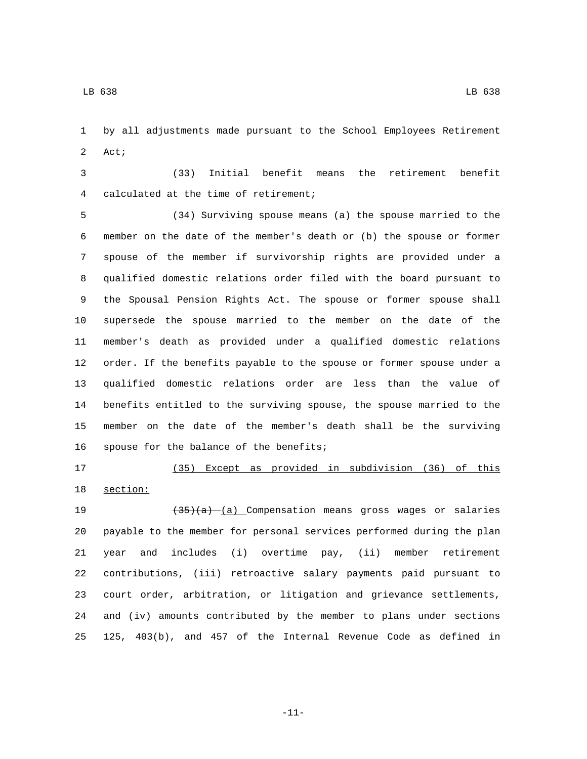by all adjustments made pursuant to the School Employees Retirement 2 Act;

 (33) Initial benefit means the retirement benefit 4 calculated at the time of retirement;

 (34) Surviving spouse means (a) the spouse married to the member on the date of the member's death or (b) the spouse or former spouse of the member if survivorship rights are provided under a qualified domestic relations order filed with the board pursuant to the Spousal Pension Rights Act. The spouse or former spouse shall supersede the spouse married to the member on the date of the member's death as provided under a qualified domestic relations order. If the benefits payable to the spouse or former spouse under a qualified domestic relations order are less than the value of benefits entitled to the surviving spouse, the spouse married to the member on the date of the member's death shall be the surviving 16 spouse for the balance of the benefits;

(35) Except as provided in subdivision (36) of this

18 section:

19 (35)(a) (a) Compensation means gross wages or salaries payable to the member for personal services performed during the plan year and includes (i) overtime pay, (ii) member retirement contributions, (iii) retroactive salary payments paid pursuant to court order, arbitration, or litigation and grievance settlements, and (iv) amounts contributed by the member to plans under sections 125, 403(b), and 457 of the Internal Revenue Code as defined in

-11-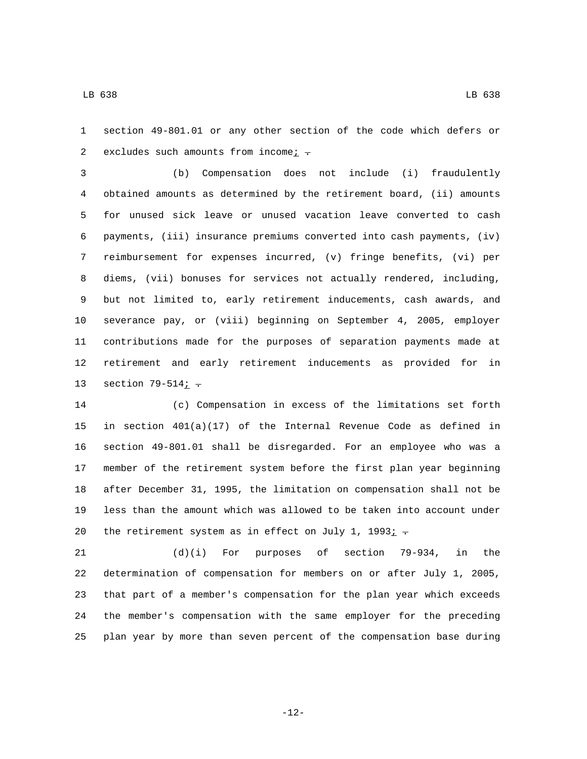section 49-801.01 or any other section of the code which defers or 2 excludes such amounts from income $\frac{i}{r}$ .

 (b) Compensation does not include (i) fraudulently obtained amounts as determined by the retirement board, (ii) amounts for unused sick leave or unused vacation leave converted to cash payments, (iii) insurance premiums converted into cash payments, (iv) reimbursement for expenses incurred, (v) fringe benefits, (vi) per diems, (vii) bonuses for services not actually rendered, including, but not limited to, early retirement inducements, cash awards, and severance pay, or (viii) beginning on September 4, 2005, employer contributions made for the purposes of separation payments made at retirement and early retirement inducements as provided for in 13 section  $79-514j$  -

 (c) Compensation in excess of the limitations set forth in section 401(a)(17) of the Internal Revenue Code as defined in section 49-801.01 shall be disregarded. For an employee who was a member of the retirement system before the first plan year beginning after December 31, 1995, the limitation on compensation shall not be less than the amount which was allowed to be taken into account under 20 the retirement system as in effect on July 1, 1993 $\overline{i}$ .

 (d)(i) For purposes of section 79-934, in the determination of compensation for members on or after July 1, 2005, that part of a member's compensation for the plan year which exceeds the member's compensation with the same employer for the preceding plan year by more than seven percent of the compensation base during

-12-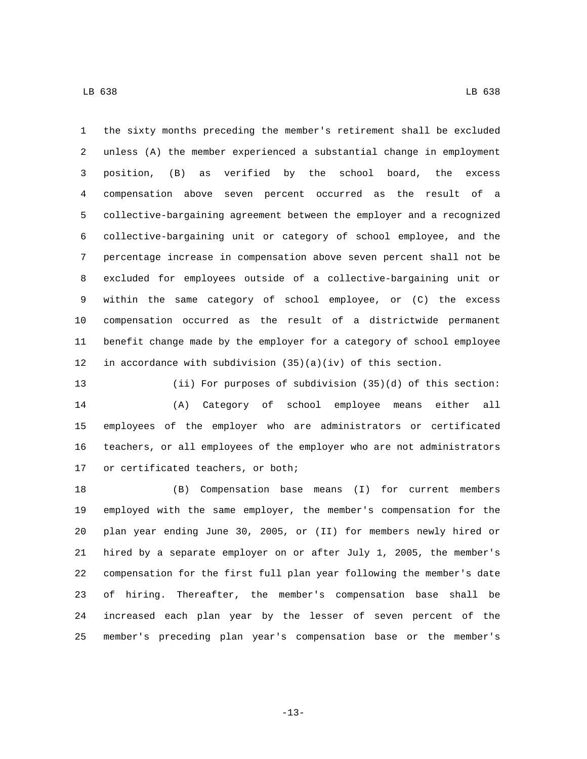the sixty months preceding the member's retirement shall be excluded unless (A) the member experienced a substantial change in employment position, (B) as verified by the school board, the excess compensation above seven percent occurred as the result of a collective-bargaining agreement between the employer and a recognized collective-bargaining unit or category of school employee, and the percentage increase in compensation above seven percent shall not be excluded for employees outside of a collective-bargaining unit or within the same category of school employee, or (C) the excess compensation occurred as the result of a districtwide permanent

in accordance with subdivision (35)(a)(iv) of this section.

 (ii) For purposes of subdivision (35)(d) of this section: (A) Category of school employee means either all employees of the employer who are administrators or certificated teachers, or all employees of the employer who are not administrators 17 or certificated teachers, or both;

benefit change made by the employer for a category of school employee

 (B) Compensation base means (I) for current members employed with the same employer, the member's compensation for the plan year ending June 30, 2005, or (II) for members newly hired or hired by a separate employer on or after July 1, 2005, the member's compensation for the first full plan year following the member's date of hiring. Thereafter, the member's compensation base shall be increased each plan year by the lesser of seven percent of the member's preceding plan year's compensation base or the member's

-13-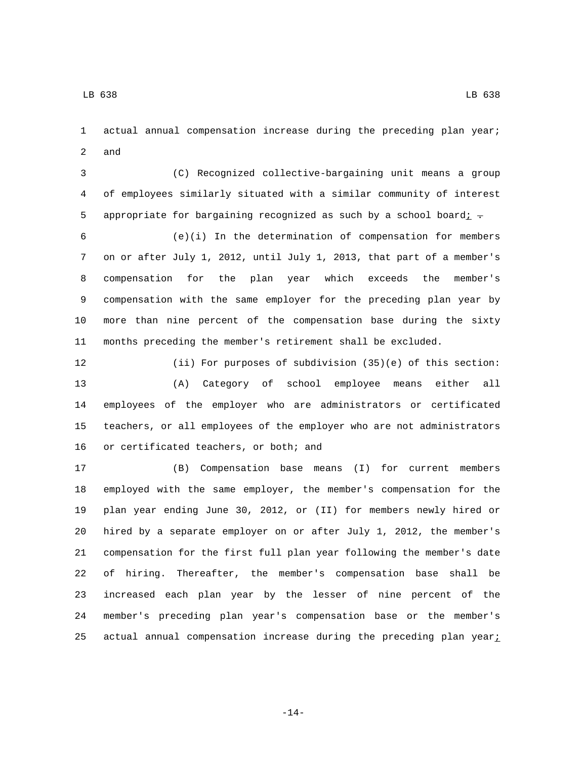actual annual compensation increase during the preceding plan year; 2 and

 (C) Recognized collective-bargaining unit means a group of employees similarly situated with a similar community of interest 5 appropriate for bargaining recognized as such by a school board $i$ .

 (e)(i) In the determination of compensation for members on or after July 1, 2012, until July 1, 2013, that part of a member's compensation for the plan year which exceeds the member's compensation with the same employer for the preceding plan year by more than nine percent of the compensation base during the sixty months preceding the member's retirement shall be excluded.

 (ii) For purposes of subdivision (35)(e) of this section: (A) Category of school employee means either all employees of the employer who are administrators or certificated teachers, or all employees of the employer who are not administrators 16 or certificated teachers, or both; and

 (B) Compensation base means (I) for current members employed with the same employer, the member's compensation for the plan year ending June 30, 2012, or (II) for members newly hired or hired by a separate employer on or after July 1, 2012, the member's compensation for the first full plan year following the member's date of hiring. Thereafter, the member's compensation base shall be increased each plan year by the lesser of nine percent of the member's preceding plan year's compensation base or the member's 25 actual annual compensation increase during the preceding plan year $i$ 

-14-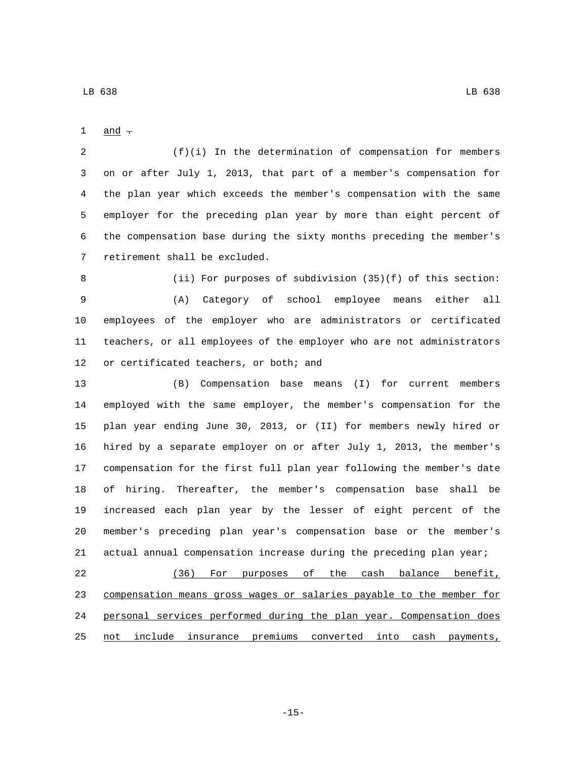$and -$ 

 (f)(i) In the determination of compensation for members on or after July 1, 2013, that part of a member's compensation for the plan year which exceeds the member's compensation with the same employer for the preceding plan year by more than eight percent of the compensation base during the sixty months preceding the member's 7 retirement shall be excluded.

 (ii) For purposes of subdivision (35)(f) of this section: (A) Category of school employee means either all employees of the employer who are administrators or certificated teachers, or all employees of the employer who are not administrators 12 or certificated teachers, or both; and

 (B) Compensation base means (I) for current members employed with the same employer, the member's compensation for the plan year ending June 30, 2013, or (II) for members newly hired or hired by a separate employer on or after July 1, 2013, the member's compensation for the first full plan year following the member's date of hiring. Thereafter, the member's compensation base shall be increased each plan year by the lesser of eight percent of the member's preceding plan year's compensation base or the member's actual annual compensation increase during the preceding plan year;

 (36) For purposes of the cash balance benefit, compensation means gross wages or salaries payable to the member for personal services performed during the plan year. Compensation does not include insurance premiums converted into cash payments,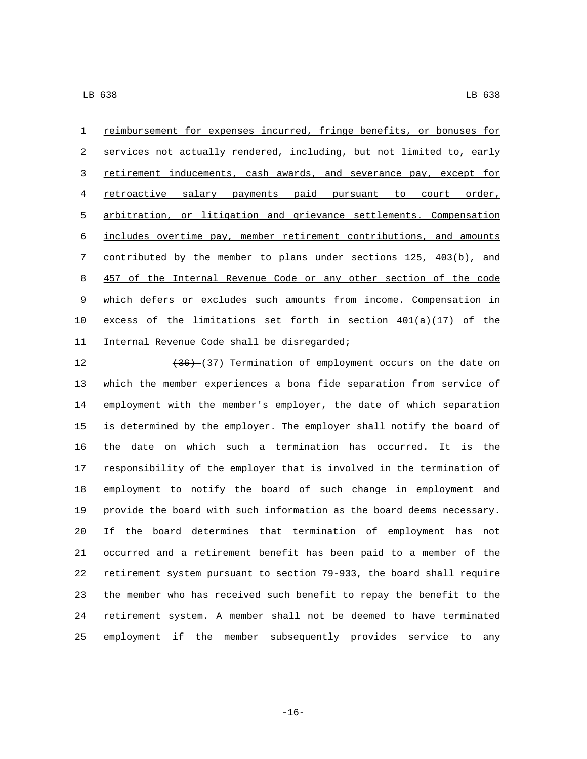reimbursement for expenses incurred, fringe benefits, or bonuses for services not actually rendered, including, but not limited to, early retirement inducements, cash awards, and severance pay, except for retroactive salary payments paid pursuant to court order, arbitration, or litigation and grievance settlements. Compensation includes overtime pay, member retirement contributions, and amounts contributed by the member to plans under sections 125, 403(b), and 8 457 of the Internal Revenue Code or any other section of the code which defers or excludes such amounts from income. Compensation in excess of the limitations set forth in section 401(a)(17) of the Internal Revenue Code shall be disregarded;11

12 (36) (37) Termination of employment occurs on the date on which the member experiences a bona fide separation from service of employment with the member's employer, the date of which separation is determined by the employer. The employer shall notify the board of the date on which such a termination has occurred. It is the responsibility of the employer that is involved in the termination of employment to notify the board of such change in employment and provide the board with such information as the board deems necessary. If the board determines that termination of employment has not occurred and a retirement benefit has been paid to a member of the retirement system pursuant to section 79-933, the board shall require the member who has received such benefit to repay the benefit to the retirement system. A member shall not be deemed to have terminated employment if the member subsequently provides service to any

-16-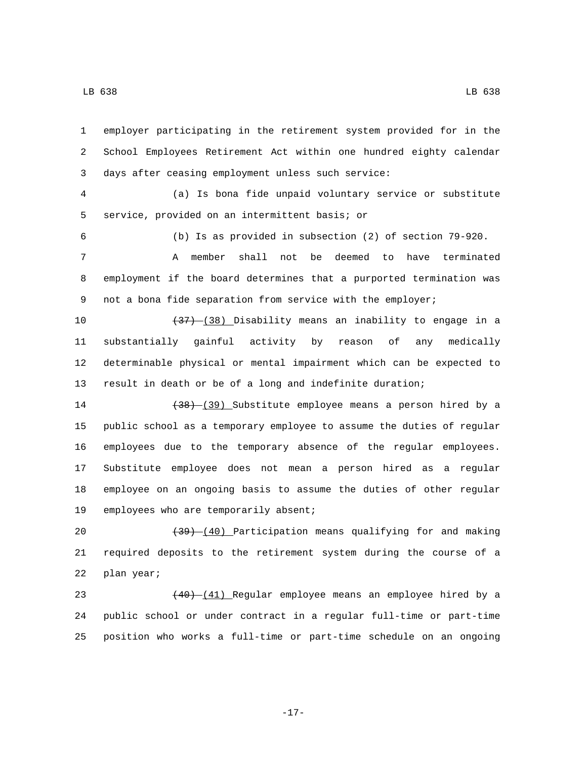employer participating in the retirement system provided for in the School Employees Retirement Act within one hundred eighty calendar 3 days after ceasing employment unless such service:

 (a) Is bona fide unpaid voluntary service or substitute 5 service, provided on an intermittent basis; or

(b) Is as provided in subsection (2) of section 79-920.

 A member shall not be deemed to have terminated employment if the board determines that a purported termination was 9 not a bona fide separation from service with the employer;

 $(37)$   $(38)$  Disability means an inability to engage in a substantially gainful activity by reason of any medically determinable physical or mental impairment which can be expected to result in death or be of a long and indefinite duration;

14 (38) (39) Substitute employee means a person hired by a public school as a temporary employee to assume the duties of regular employees due to the temporary absence of the regular employees. Substitute employee does not mean a person hired as a regular employee on an ongoing basis to assume the duties of other regular 19 employees who are temporarily absent;

20 (39) (40) Participation means qualifying for and making required deposits to the retirement system during the course of a 22 plan year;

23 (40) (41) Regular employee means an employee hired by a public school or under contract in a regular full-time or part-time position who works a full-time or part-time schedule on an ongoing

-17-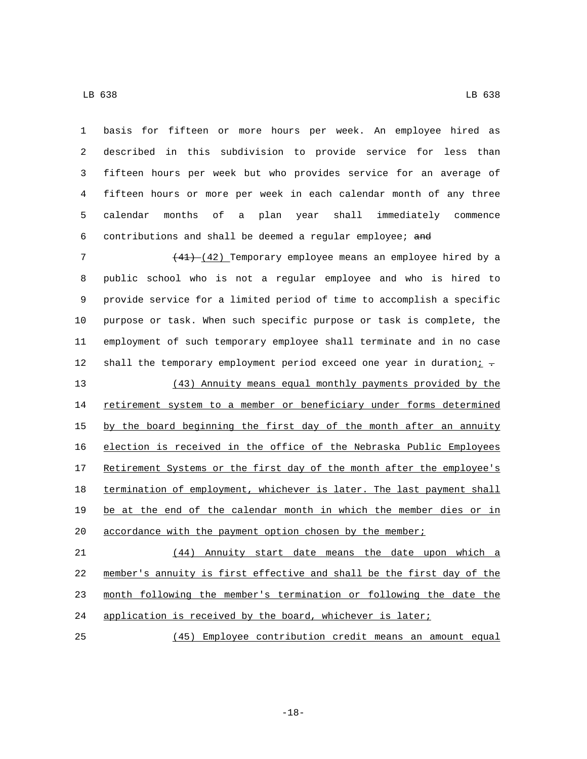| 1  | basis for fifteen or more hours per week. An employee hired as                    |
|----|-----------------------------------------------------------------------------------|
| 2  | described in this subdivision to provide service for less than                    |
| 3  | fifteen hours per week but who provides service for an average of                 |
| 4  | fifteen hours or more per week in each calendar month of any three                |
| 5  | months<br>оf<br>year<br>shall<br>immediately<br>calendar<br>plan<br>commence<br>a |
| 6  | contributions and shall be deemed a regular employee; and                         |
| 7  | $(41)$ $(42)$ Temporary employee means an employee hired by a                     |
| 8  | public school who is not a regular employee and who is hired to                   |
| 9  | provide service for a limited period of time to accomplish a specific             |
| 10 | purpose or task. When such specific purpose or task is complete, the              |
| 11 | employment of such temporary employee shall terminate and in no case              |
| 12 | shall the temporary employment period exceed one year in duration $\frac{i}{r}$ . |
| 13 | (43) Annuity means equal monthly payments provided by the                         |
| 14 | retirement system to a member or beneficiary under forms determined               |
| 15 | by the board beginning the first day of the month after an annuity                |
| 16 | election is received in the office of the Nebraska Public Employees               |
| 17 | Retirement Systems or the first day of the month after the employee's             |
| 18 | termination of employment, whichever is later. The last payment shall             |
| 19 | be at the end of the calendar month in which the member dies or in                |
| 20 | accordance with the payment option chosen by the member;                          |
| 21 | (44) Annuity start date means the date upon which a                               |
| 22 | member's annuity is first effective and shall be the first day of the             |
| 23 | month following the member's termination or following the date the                |
| 24 | application is received by the board, whichever is later;                         |
| 25 | (45) Employee contribution credit means an amount equal                           |

-18-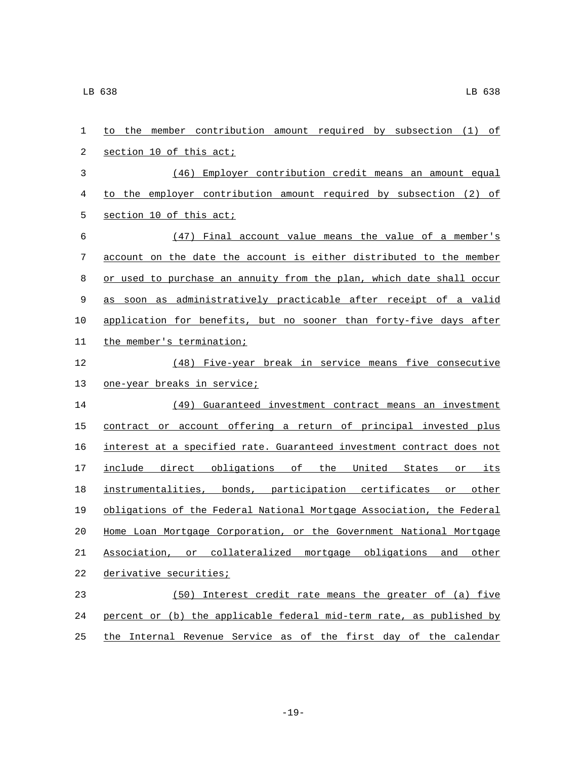| 1  | to the member contribution amount required by subsection (1) of       |
|----|-----------------------------------------------------------------------|
| 2  | section 10 of this act;                                               |
| 3  | (46) Employer contribution credit means an amount equal               |
| 4  | to the employer contribution amount required by subsection (2) of     |
| 5  | section 10 of this act;                                               |
| 6  | (47) Final account value means the value of a member's                |
| 7  | account on the date the account is either distributed to the member   |
| 8  | or used to purchase an annuity from the plan, which date shall occur  |
| 9  | as soon as administratively practicable after receipt of a valid      |
| 10 | application for benefits, but no sooner than forty-five days after    |
| 11 | the member's termination;                                             |
| 12 | (48) Five-year break in service means five consecutive                |
| 13 | <u>one-year breaks in service;</u>                                    |
| 14 | (49) Guaranteed investment contract means an investment               |
| 15 | contract or account offering a return of principal invested plus      |
| 16 | interest at a specified rate. Guaranteed investment contract does not |
| 17 | include direct obligations of the United States or its                |
| 18 | instrumentalities, bonds, participation certificates or other         |
| 19 | obligations of the Federal National Mortgage Association, the Federal |
| 20 | Home Loan Mortgage Corporation, or the Government National Mortgage   |
| 21 | Association, or collateralized mortgage obligations and other         |
| 22 | derivative securities;                                                |
| 23 | (50) Interest credit rate means the greater of (a) five               |
| 24 | percent or (b) the applicable federal mid-term rate, as published by  |
| 25 | the Internal Revenue Service as of the first day of the calendar      |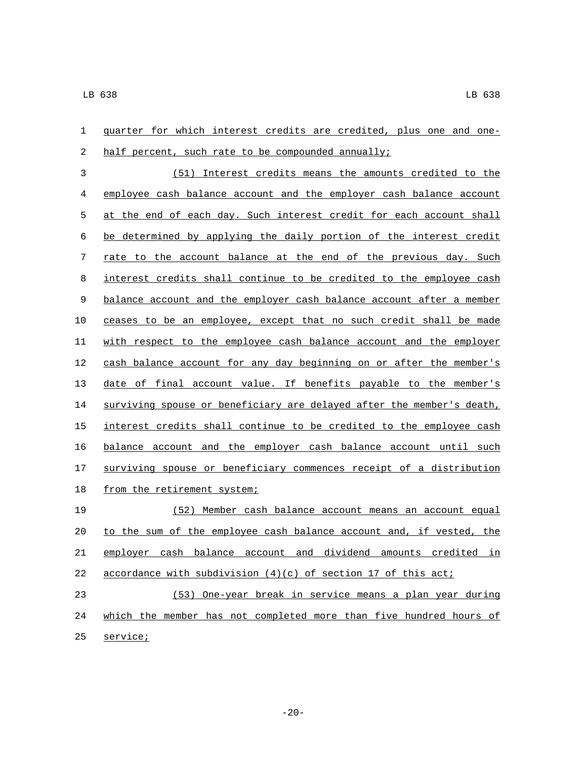| 1          | guarter for which interest credits are credited, plus one and one-    |
|------------|-----------------------------------------------------------------------|
| 2          | half percent, such rate to be compounded annually;                    |
| 3          | (51) Interest credits means the amounts credited to the               |
| 4          | employee cash balance account and the employer cash balance account   |
| 5          | at the end of each day. Such interest credit for each account shall   |
| $\sqrt{6}$ | be determined by applying the daily portion of the interest credit    |
| 7          | rate to the account balance at the end of the previous day. Such      |
| 8          | interest credits shall continue to be credited to the employee cash   |
| 9          | balance account and the employer cash balance account after a member  |
| 10         | ceases to be an employee, except that no such credit shall be made    |
| 11         | with respect to the employee cash balance account and the employer    |
| 12         | cash balance account for any day beginning on or after the member's   |
| 13         | date of final account value. If benefits payable to the member's      |
| 14         | surviving spouse or beneficiary are delayed after the member's death, |
| 15         | interest credits shall continue to be credited to the employee cash   |
| 16         | balance account and the employer cash balance account until such      |
| 17         | surviving spouse or beneficiary commences receipt of a distribution   |
| 18         | from the retirement system;                                           |
| 19         | (52) Member cash balance account means an account equal               |
| 20         | to the sum of the employee cash balance account and, if vested, the   |
| 21         | emplover cash balance account and dividend amounts credited in        |
| 22         | accordance with subdivision $(4)(c)$ of section 17 of this acti-      |
| 23         | (53) One-year break in service means a plan year during               |
| 24         | which the member has not completed more than five hundred hours of    |
|            |                                                                       |

25 service;

-20-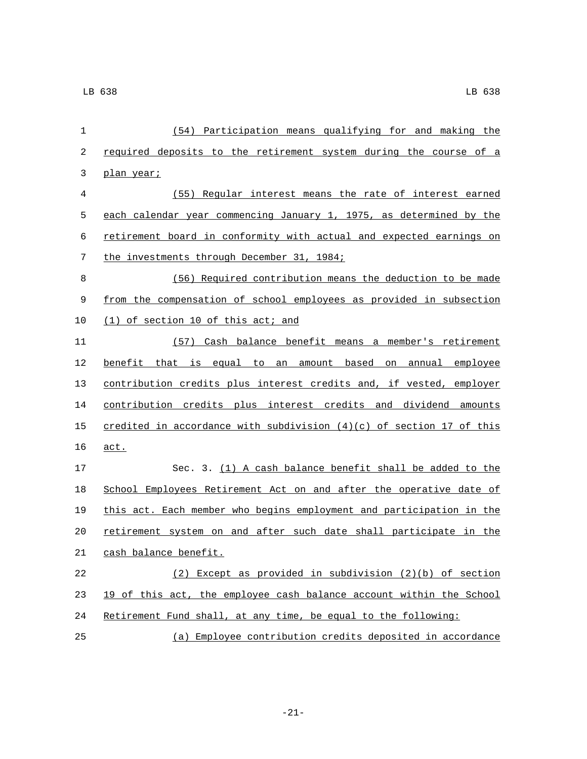| $\mathbf 1$ | (54) Participation means qualifying for and making the                 |
|-------------|------------------------------------------------------------------------|
| 2           | required deposits to the retirement system during the course of a      |
| 3           | <u>plan year;</u>                                                      |
| 4           | (55) Regular interest means the rate of interest earned                |
| 5           | each calendar year commencing January 1, 1975, as determined by the    |
| 6           | retirement board in conformity with actual and expected earnings on    |
| 7           | the investments through December 31, 1984;                             |
| 8           | (56) Required contribution means the deduction to be made              |
| 9           | from the compensation of school employees as provided in subsection    |
| 10          | (1) of section 10 of this act; and                                     |
| 11          | (57) Cash balance benefit means a member's retirement                  |
| 12          | benefit that is equal to an amount based on annual employee            |
| 13          | contribution credits plus interest credits and, if vested, employer    |
| 14          | contribution credits plus interest credits and dividend amounts        |
| 15          | credited in accordance with subdivision $(4)(c)$ of section 17 of this |
| 16          | act.                                                                   |
| 17          | Sec. 3. (1) A cash balance benefit shall be added to the               |
| 18          | School Employees Retirement Act on and after the operative date of     |
| 19          | this act. Each member who begins employment and participation in the   |
| 20          | retirement system on and after such date shall participate in the      |
| 21          | cash balance benefit.                                                  |
| 22          | (2) Except as provided in subdivision (2)(b) of section                |
| 23          | 19 of this act, the employee cash balance account within the School    |
| 24          | Retirement Fund shall, at any time, be equal to the following:         |
| 25          | (a) Employee contribution credits deposited in accordance              |

-21-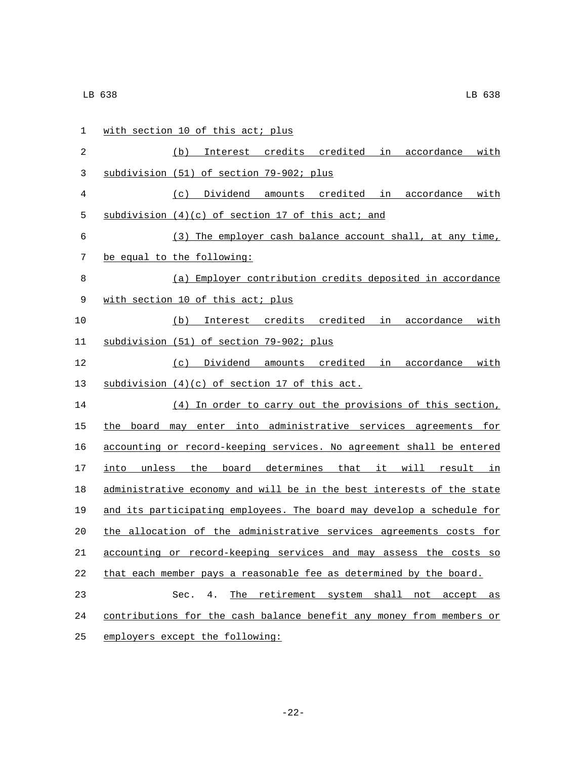| 1           | with section 10 of this act; plus                                     |
|-------------|-----------------------------------------------------------------------|
| 2           | (b) Interest credits credited in accordance with                      |
| 3           | subdivision (51) of section 79-902; plus                              |
| 4           | (c) Dividend amounts credited in accordance with                      |
| 5           | subdivision (4)(c) of section 17 of this act; and                     |
| 6           | (3) The employer cash balance account shall, at any time,             |
| 7           | be equal to the following:                                            |
| 8           | (a) Employer contribution credits deposited in accordance             |
| $\mathsf 9$ | with section 10 of this act; plus                                     |
| 10          | (b) Interest credits credited in accordance with                      |
| 11          | subdivision (51) of section 79-902; plus                              |
| 12          | (c) Dividend amounts credited in accordance with                      |
| 13          | subdivision (4)(c) of section 17 of this act.                         |
| 14          | (4) In order to carry out the provisions of this section,             |
| 15          | the board may enter into administrative services agreements for       |
| 16          | accounting or record-keeping services. No agreement shall be entered  |
| 17          | into unless the board determines that it will result in               |
| 18          | administrative economy and will be in the best interests of the state |
| 19          | and its participating employees. The board may develop a schedule for |
| 20          | the allocation of the administrative services agreements costs for    |
| 21          | accounting or record-keeping services and may assess the costs so     |
| 22          | that each member pays a reasonable fee as determined by the board.    |
| 23          | The retirement system shall not accept as<br>Sec.<br>4.               |
| 24          | contributions for the cash balance benefit any money from members or  |
| 25          | employers except the following:                                       |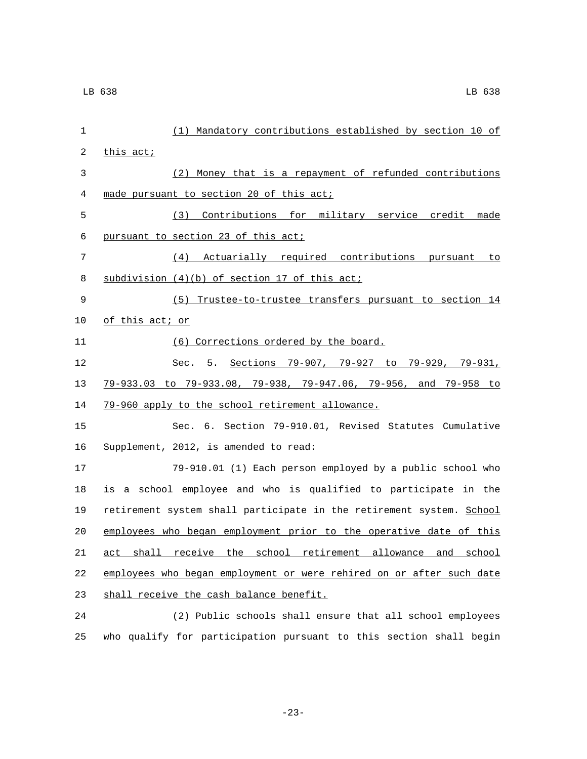| $\mathbf 1$ | (1) Mandatory contributions established by section 10 of             |
|-------------|----------------------------------------------------------------------|
| 2           | this act;                                                            |
| 3           | (2) Money that is a repayment of refunded contributions              |
| 4           | made pursuant to section 20 of this act;                             |
| 5           | (3) Contributions for military service credit made                   |
| 6           | pursuant to section 23 of this act;                                  |
| 7           | (4) Actuarially required contributions pursuant to                   |
| 8           | subdivision (4)(b) of section 17 of this act;                        |
| 9           | (5) Trustee-to-trustee transfers pursuant to section 14              |
| 10          | of this act; or                                                      |
| 11          | (6) Corrections ordered by the board.                                |
| 12          | Sec. 5. Sections 79-907, 79-927 to 79-929, 79-931,                   |
| 13          | 79-933.03 to 79-933.08, 79-938, 79-947.06, 79-956, and 79-958 to     |
| 14          | 79-960 apply to the school retirement allowance.                     |
| 15          | Sec. 6. Section 79-910.01, Revised Statutes Cumulative               |
| 16          | Supplement, 2012, is amended to read:                                |
| 17          | 79-910.01 (1) Each person employed by a public school who            |
| 18          | is a school employee and who is qualified to participate in the      |
| 19          | retirement system shall participate in the retirement system. School |
| 20          | employees who began employment prior to the operative date of this   |
|             | 21 act shall receive the school retirement allowance and school      |
| 22          | employees who began employment or were rehired on or after such date |
| 23          | shall receive the cash balance benefit.                              |
| 24          | (2) Public schools shall ensure that all school employees            |
| 25          | who qualify for participation pursuant to this section shall begin   |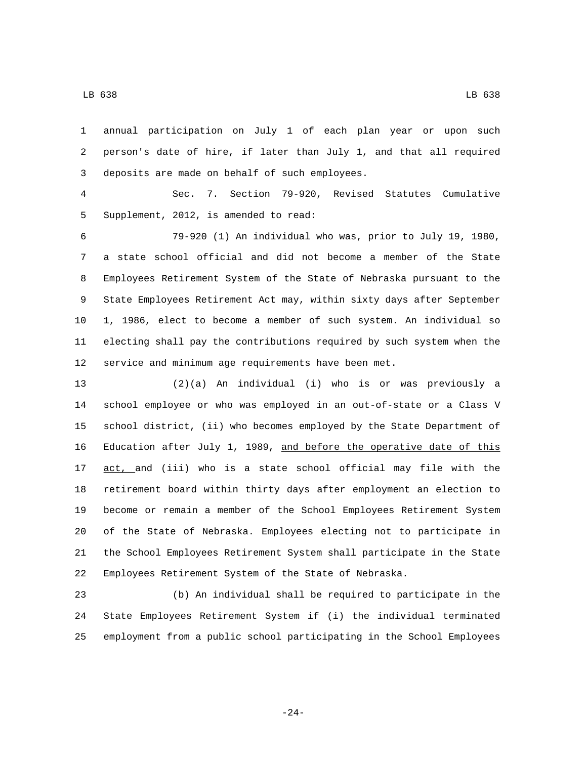annual participation on July 1 of each plan year or upon such

 person's date of hire, if later than July 1, and that all required 3 deposits are made on behalf of such employees.

 Sec. 7. Section 79-920, Revised Statutes Cumulative 5 Supplement, 2012, is amended to read:

 79-920 (1) An individual who was, prior to July 19, 1980, a state school official and did not become a member of the State Employees Retirement System of the State of Nebraska pursuant to the State Employees Retirement Act may, within sixty days after September 1, 1986, elect to become a member of such system. An individual so electing shall pay the contributions required by such system when the service and minimum age requirements have been met.

 (2)(a) An individual (i) who is or was previously a school employee or who was employed in an out-of-state or a Class V school district, (ii) who becomes employed by the State Department of Education after July 1, 1989, and before the operative date of this 17 act, and (iii) who is a state school official may file with the retirement board within thirty days after employment an election to become or remain a member of the School Employees Retirement System of the State of Nebraska. Employees electing not to participate in the School Employees Retirement System shall participate in the State Employees Retirement System of the State of Nebraska.

 (b) An individual shall be required to participate in the State Employees Retirement System if (i) the individual terminated employment from a public school participating in the School Employees

-24-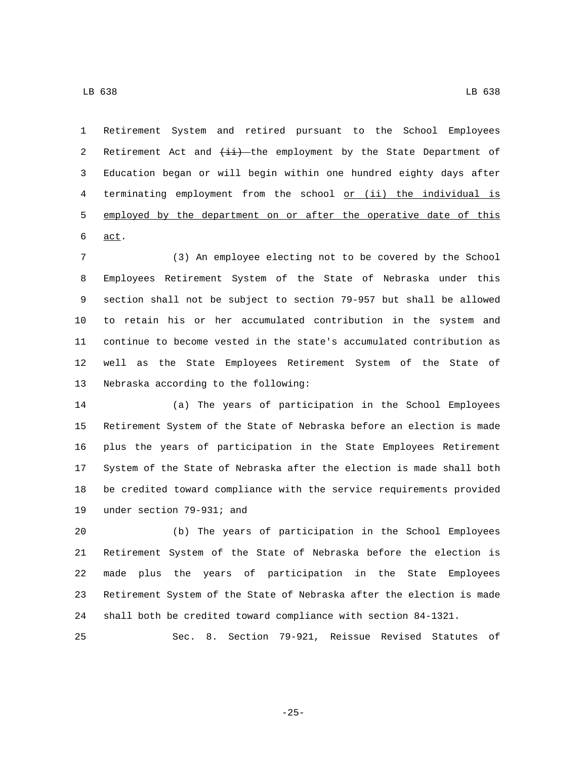Retirement System and retired pursuant to the School Employees 2 Retirement Act and  $\overline{4i}$  the employment by the State Department of Education began or will begin within one hundred eighty days after terminating employment from the school or (ii) the individual is employed by the department on or after the operative date of this

 $\underline{act}$ .

 (3) An employee electing not to be covered by the School Employees Retirement System of the State of Nebraska under this section shall not be subject to section 79-957 but shall be allowed to retain his or her accumulated contribution in the system and continue to become vested in the state's accumulated contribution as well as the State Employees Retirement System of the State of 13 Nebraska according to the following:

 (a) The years of participation in the School Employees Retirement System of the State of Nebraska before an election is made plus the years of participation in the State Employees Retirement System of the State of Nebraska after the election is made shall both be credited toward compliance with the service requirements provided 19 under section 79-931; and

 (b) The years of participation in the School Employees Retirement System of the State of Nebraska before the election is made plus the years of participation in the State Employees Retirement System of the State of Nebraska after the election is made shall both be credited toward compliance with section 84-1321.

Sec. 8. Section 79-921, Reissue Revised Statutes of

-25-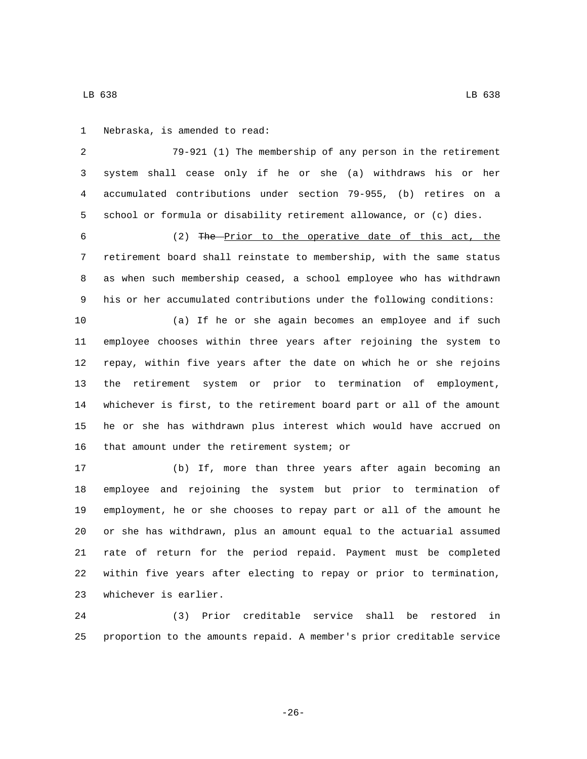1 Nebraska, is amended to read:

 79-921 (1) The membership of any person in the retirement system shall cease only if he or she (a) withdraws his or her accumulated contributions under section 79-955, (b) retires on a school or formula or disability retirement allowance, or (c) dies.

 (2) The Prior to the operative date of this act, the retirement board shall reinstate to membership, with the same status as when such membership ceased, a school employee who has withdrawn his or her accumulated contributions under the following conditions:

 (a) If he or she again becomes an employee and if such employee chooses within three years after rejoining the system to repay, within five years after the date on which he or she rejoins the retirement system or prior to termination of employment, whichever is first, to the retirement board part or all of the amount he or she has withdrawn plus interest which would have accrued on 16 that amount under the retirement system; or

 (b) If, more than three years after again becoming an employee and rejoining the system but prior to termination of employment, he or she chooses to repay part or all of the amount he or she has withdrawn, plus an amount equal to the actuarial assumed rate of return for the period repaid. Payment must be completed within five years after electing to repay or prior to termination, 23 whichever is earlier.

 (3) Prior creditable service shall be restored in proportion to the amounts repaid. A member's prior creditable service

-26-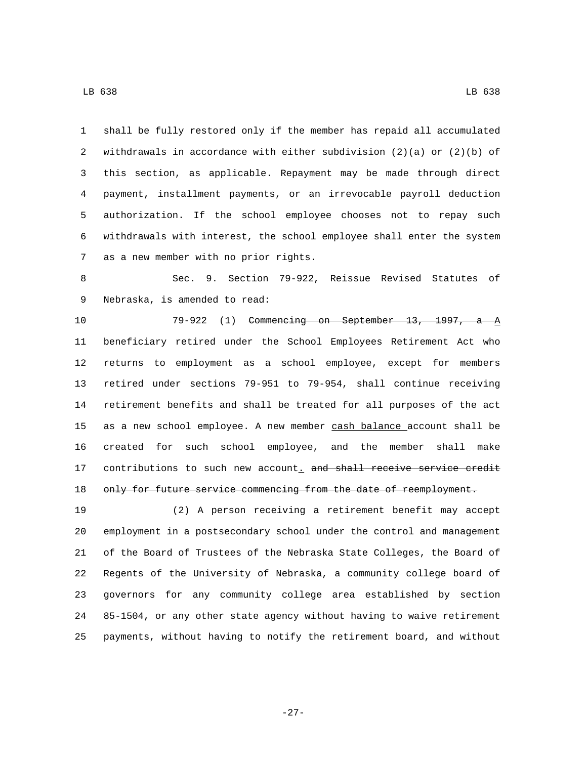shall be fully restored only if the member has repaid all accumulated withdrawals in accordance with either subdivision (2)(a) or (2)(b) of this section, as applicable. Repayment may be made through direct payment, installment payments, or an irrevocable payroll deduction authorization. If the school employee chooses not to repay such

 withdrawals with interest, the school employee shall enter the system 7 as a new member with no prior rights.

 Sec. 9. Section 79-922, Reissue Revised Statutes of 9 Nebraska, is amended to read:

 79-922 (1) Commencing on September 13, 1997, a A beneficiary retired under the School Employees Retirement Act who returns to employment as a school employee, except for members retired under sections 79-951 to 79-954, shall continue receiving retirement benefits and shall be treated for all purposes of the act as a new school employee. A new member cash balance account shall be created for such school employee, and the member shall make 17 contributions to such new account. and shall receive service credit 18 only for future service commencing from the date of reemployment.

 (2) A person receiving a retirement benefit may accept employment in a postsecondary school under the control and management of the Board of Trustees of the Nebraska State Colleges, the Board of Regents of the University of Nebraska, a community college board of governors for any community college area established by section 85-1504, or any other state agency without having to waive retirement payments, without having to notify the retirement board, and without

-27-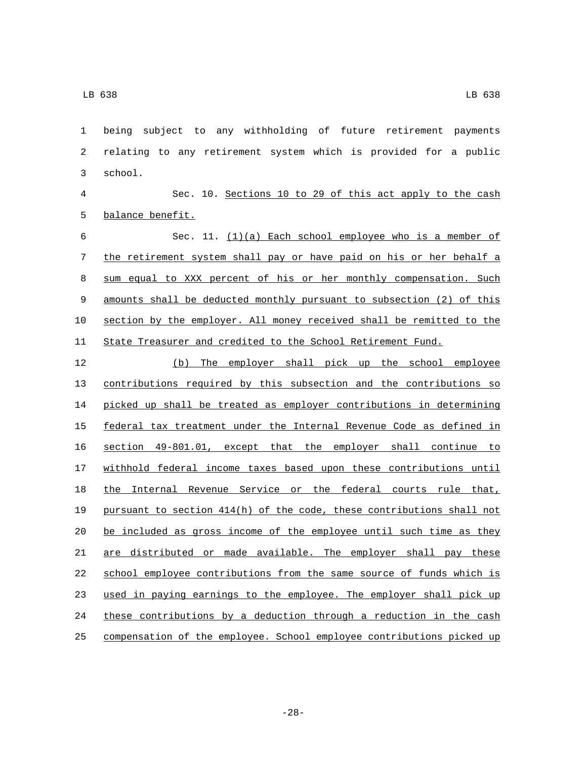being subject to any withholding of future retirement payments relating to any retirement system which is provided for a public 3 school.

 Sec. 10. Sections 10 to 29 of this act apply to the cash 5 balance benefit.

 Sec. 11. (1)(a) Each school employee who is a member of the retirement system shall pay or have paid on his or her behalf a sum equal to XXX percent of his or her monthly compensation. Such amounts shall be deducted monthly pursuant to subsection (2) of this section by the employer. All money received shall be remitted to the State Treasurer and credited to the School Retirement Fund.

 (b) The employer shall pick up the school employee contributions required by this subsection and the contributions so picked up shall be treated as employer contributions in determining federal tax treatment under the Internal Revenue Code as defined in section 49-801.01, except that the employer shall continue to withhold federal income taxes based upon these contributions until 18 the Internal Revenue Service or the federal courts rule that, pursuant to section 414(h) of the code, these contributions shall not be included as gross income of the employee until such time as they are distributed or made available. The employer shall pay these school employee contributions from the same source of funds which is used in paying earnings to the employee. The employer shall pick up these contributions by a deduction through a reduction in the cash compensation of the employee. School employee contributions picked up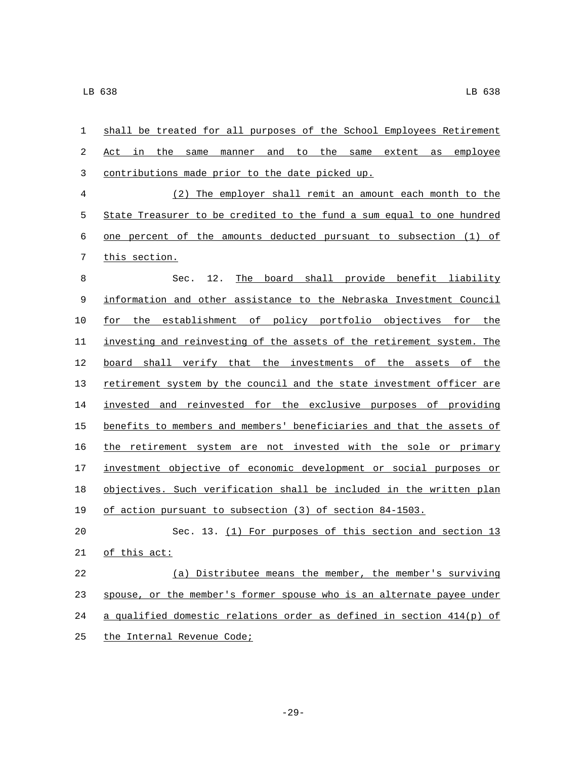| $\mathbf{1}$   | shall be treated for all purposes of the School Employees Retirement  |
|----------------|-----------------------------------------------------------------------|
| 2              | employee<br>Act in the same<br>manner and to the same<br>extent as    |
| 3              | contributions made prior to the date picked up.                       |
| $\overline{4}$ | (2) The employer shall remit an amount each month to the              |
| 5              | State Treasurer to be credited to the fund a sum equal to one hundred |
| 6              | one percent of the amounts deducted pursuant to subsection (1) of     |
| 7              | this section.                                                         |
| 8              | 12.<br>The board shall provide benefit liability<br>Sec.              |
| 9              | information and other assistance to the Nebraska Investment Council   |
| 10             | for the establishment of policy portfolio objectives for the          |
| 11             | investing and reinvesting of the assets of the retirement system. The |
| 12             | board shall verify that the investments of the assets of the          |
| 13             | retirement system by the council and the state investment officer are |
| 14             | invested and reinvested for the exclusive purposes of providing       |
| 15             | benefits to members and members' beneficiaries and that the assets of |
| 16             | the retirement system are not invested with the sole or primary       |
| 17             | investment objective of economic development or social purposes or    |
| 18             | objectives. Such verification shall be included in the written plan   |
| 19             | of action pursuant to subsection (3) of section 84-1503.              |
| 20             | Sec. 13. (1) For purposes of this section and section 13              |
| 21             | of this act:                                                          |
| 22             | (a) Distributee means the member, the member's surviving              |
| 23             | spouse, or the member's former spouse who is an alternate payee under |
| 24             | a qualified domestic relations order as defined in section 414(p) of  |
| 25             | the Internal Revenue Code;                                            |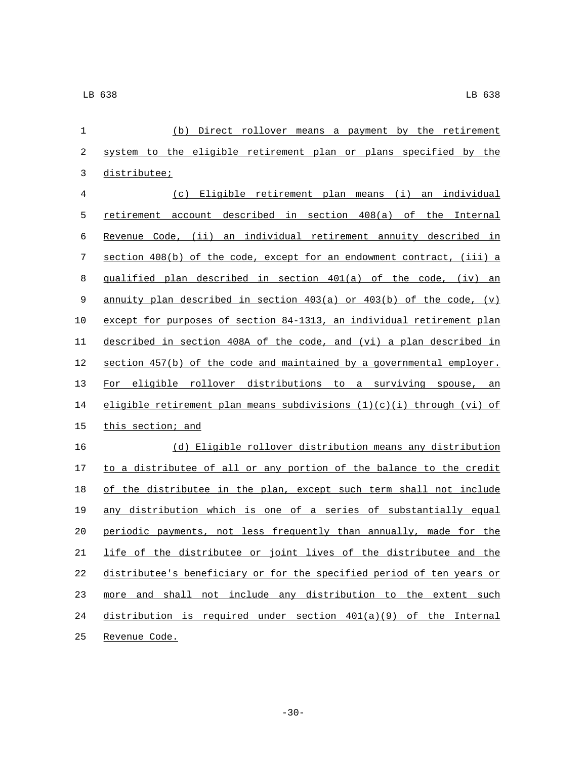| 1              | (b)<br>Direct rollover means a payment by the retirement                  |
|----------------|---------------------------------------------------------------------------|
| $\sqrt{2}$     | system to the eligible retirement plan or plans specified by the          |
| 3              | distributee;                                                              |
| $\overline{4}$ | (c) Eligible retirement plan means (i) an individual                      |
| 5              | retirement account described in section 408(a) of the Internal            |
| 6              | Revenue Code, (ii) an individual retirement annuity described in          |
| 7              | section 408(b) of the code, except for an endowment contract, (iii) a     |
| 8              | qualified plan described in section 401(a) of the code, (iv) an           |
| 9              | annuity plan described in section $403(a)$ or $403(b)$ of the code, (v)   |
| 10             | except for purposes of section 84-1313, an individual retirement plan     |
| 11             | described in section 408A of the code, and (vi) a plan described in       |
| 12             | section 457(b) of the code and maintained by a governmental employer.     |
| 13             | For eligible rollover distributions to a surviving spouse, an             |
| 14             | eligible retirement plan means subdivisions $(1)(c)(i)$ through $(vi)$ of |
| 15             | this section; and                                                         |
| 16             | (d) Eligible rollover distribution means any distribution                 |
| 17             | to a distributee of all or any portion of the balance to the credit       |
| 18             | of the distributee in the plan, except such term shall not include        |
| 19             | any distribution which is one of a series of substantially equal          |
| 20             | periodic payments, not less frequently than annually, made for the        |
| 21             | life of the distributee or joint lives of the distributee and the         |
| 22             | distributee's beneficiary or for the specified period of ten years or     |
| 23             | more and shall not include any distribution to the extent such            |
| 24             | distribution is required under section $401(a)(9)$ of the Internal        |
| 25             | Revenue Code.                                                             |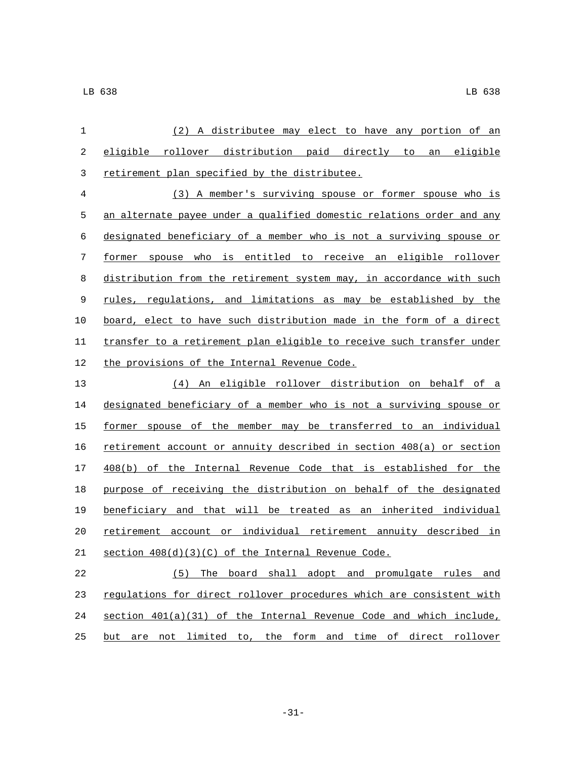| (2) A distributee may elect to have any portion of an                 |
|-----------------------------------------------------------------------|
| eligible rollover distribution paid directly to an eligible           |
| retirement plan specified by the distributee.                         |
| (3) A member's surviving spouse or former spouse who is               |
| an alternate payee under a qualified domestic relations order and any |
| designated beneficiary of a member who is not a surviving spouse or   |
| former spouse who is entitled to receive an eligible rollover         |
| distribution from the retirement system may, in accordance with such  |
| rules, regulations, and limitations as may be established by the      |
| board, elect to have such distribution made in the form of a direct   |
| transfer to a retirement plan eligible to receive such transfer under |
| the provisions of the Internal Revenue Code.                          |
| (4) An eligible rollover distribution on behalf of a                  |
| designated beneficiary of a member who is not a surviving spouse or   |
| former spouse of the member may be transferred to an individual       |
| retirement account or annuity described in section 408(a) or section  |
| 408(b) of the Internal Revenue Code that is established for the       |
| purpose of receiving the distribution on behalf of the designated     |
| beneficiary and that will be treated as an inherited individual       |
| retirement account or individual retirement annuity described in      |
| section 408(d)(3)(C) of the Internal Revenue Code.                    |
|                                                                       |

 (5) The board shall adopt and promulgate rules and 23 regulations for direct rollover procedures which are consistent with section 401(a)(31) of the Internal Revenue Code and which include, 25 but are not limited to, the form and time of direct rollover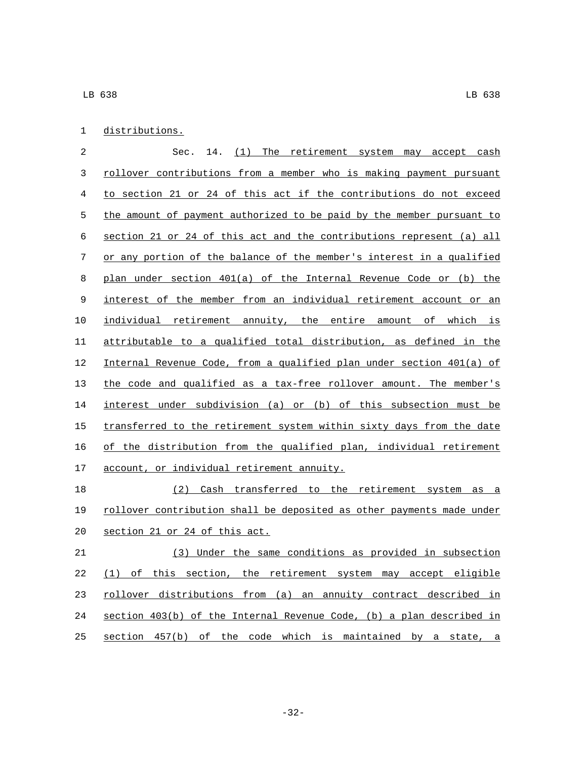| distributions. |
|----------------|
|                |

 Sec. 14. (1) The retirement system may accept cash 3 rollover contributions from a member who is making payment pursuant to section 21 or 24 of this act if the contributions do not exceed 5 the amount of payment authorized to be paid by the member pursuant to section 21 or 24 of this act and the contributions represent (a) all or any portion of the balance of the member's interest in a qualified plan under section 401(a) of the Internal Revenue Code or (b) the interest of the member from an individual retirement account or an individual retirement annuity, the entire amount of which is attributable to a qualified total distribution, as defined in the Internal Revenue Code, from a qualified plan under section 401(a) of the code and qualified as a tax-free rollover amount. The member's interest under subdivision (a) or (b) of this subsection must be 15 transferred to the retirement system within sixty days from the date of the distribution from the qualified plan, individual retirement 17 account, or individual retirement annuity.

 (2) Cash transferred to the retirement system as a rollover contribution shall be deposited as other payments made under 20 section 21 or 24 of this act.

 (3) Under the same conditions as provided in subsection (1) of this section, the retirement system may accept eligible rollover distributions from (a) an annuity contract described in section 403(b) of the Internal Revenue Code, (b) a plan described in section 457(b) of the code which is maintained by a state, a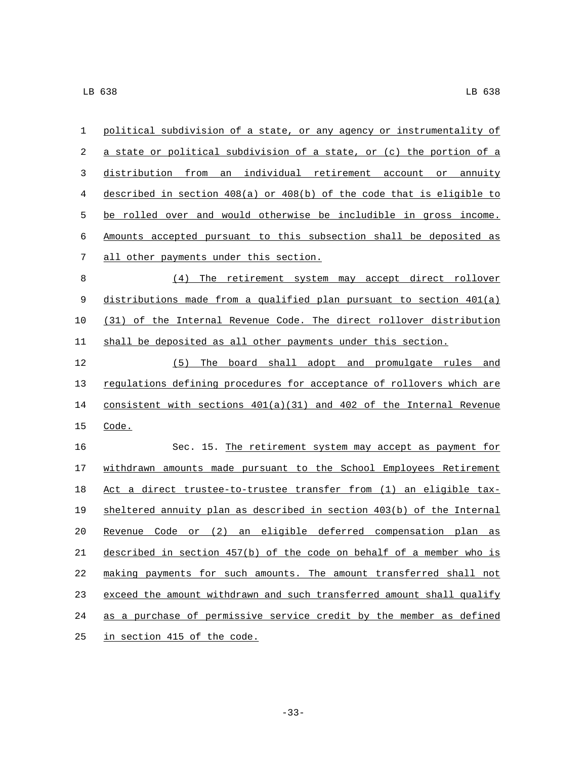| $\mathbf 1$ | political subdivision of a state, or any agency or instrumentality of     |
|-------------|---------------------------------------------------------------------------|
| 2           | a state or political subdivision of a state, or (c) the portion of a      |
| 3           | distribution from an individual retirement account or annuity             |
| 4           | described in section $408(a)$ or $408(b)$ of the code that is eligible to |
| 5           | be rolled over and would otherwise be includible in gross income.         |
| 6           | Amounts accepted pursuant to this subsection shall be deposited as        |
| 7           | all other payments under this section.                                    |
| $\,8\,$     | (4)<br>The retirement system may accept direct rollover                   |
| $\mathsf 9$ | distributions made from a qualified plan pursuant to section $401(a)$     |
| 10          | (31) of the Internal Revenue Code. The direct rollover distribution       |
| 11          | shall be deposited as all other payments under this section.              |
| 12          | (5) The board shall adopt and promulgate rules and                        |
| 13          | regulations defining procedures for acceptance of rollovers which are     |
| 14          | consistent with sections $401(a)(31)$ and $402$ of the Internal Revenue   |
| 15          | Code.                                                                     |
| 16          | Sec. 15. The retirement system may accept as payment for                  |
| 17          | withdrawn amounts made pursuant to the School Employees Retirement        |
| 18          | Act a direct trustee-to-trustee transfer from (1) an eligible tax-        |
| 19          | sheltered annuity plan as described in section 403(b) of the Internal     |
| 20          | Revenue Code or (2) an eligible deferred compensation plan as             |
| $2\sqrt{1}$ | described in section 457(b) of the code on behalf of a member who is      |
| 22          | making payments for such amounts. The amount transferred shall not        |
| 23          | exceed the amount withdrawn and such transferred amount shall qualify     |
| 24          | as a purchase of permissive service credit by the member as defined       |
| 25          | in section 415 of the code.                                               |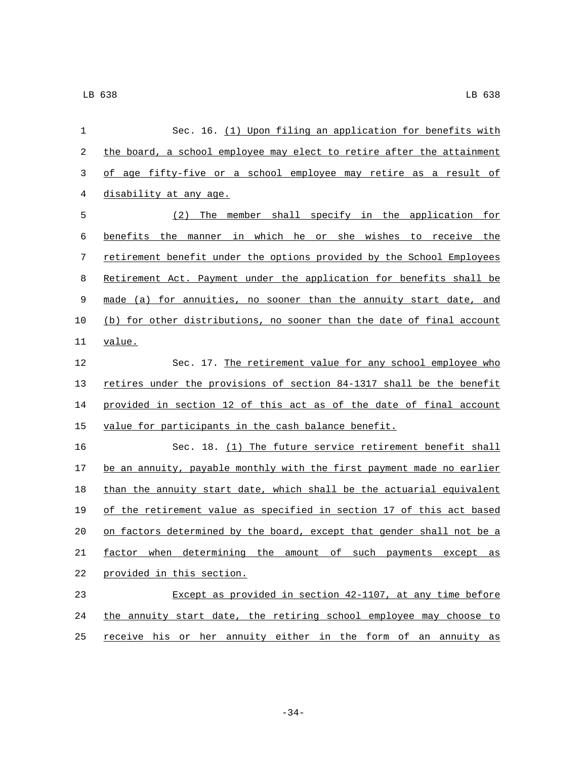| 1  | Sec. 16. (1) Upon filing an application for benefits with             |
|----|-----------------------------------------------------------------------|
| 2  | the board, a school employee may elect to retire after the attainment |
| 3  | of age fifty-five or a school employee may retire as a result of      |
| 4  | disability at any age.                                                |
| 5  | The member shall specify in the application for<br>(2)                |
| 6  | benefits the manner in which he or she wishes to receive the          |
| 7  | retirement benefit under the options provided by the School Employees |
| 8  | Retirement Act. Payment under the application for benefits shall be   |
| 9  | made (a) for annuities, no sooner than the annuity start date, and    |
| 10 | (b) for other distributions, no sooner than the date of final account |
| 11 | value.                                                                |
| 12 | Sec. 17. The retirement value for any school employee who             |
| 13 | retires under the provisions of section 84-1317 shall be the benefit  |
| 14 | provided in section 12 of this act as of the date of final account    |
| 15 | value for participants in the cash balance benefit.                   |
| 16 | Sec. 18. (1) The future service retirement benefit shall              |
| 17 | be an annuity, payable monthly with the first payment made no earlier |
| 18 | than the annuity start date, which shall be the actuarial equivalent  |
| 19 | of the retirement value as specified in section 17 of this act based  |
| 20 | on factors determined by the board, except that gender shall not be a |
| 21 | factor when determining the amount of such payments except as         |
| 22 | provided in this section.                                             |
| 23 | Except as provided in section 42-1107, at any time before             |
| 24 | the annuity start date, the retiring school employee may choose to    |
| 25 | receive his or her annuity either in the form of an annuity as        |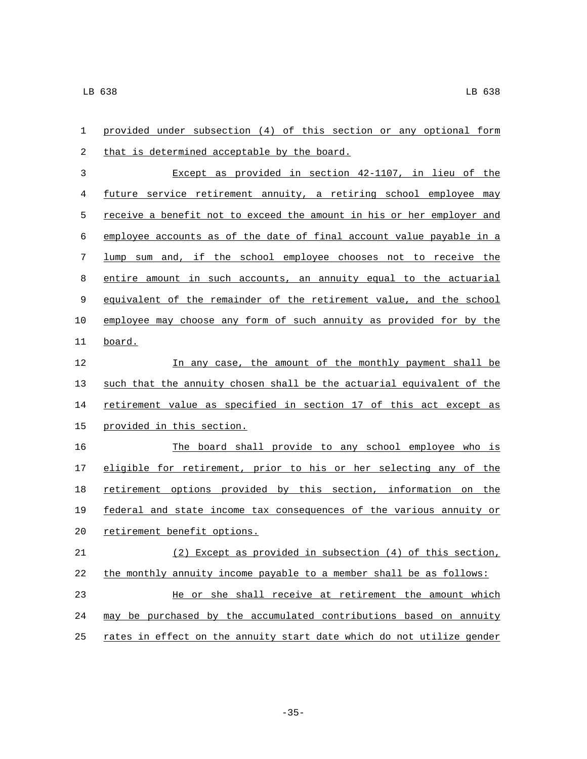| 1              | provided under subsection (4) of this section or any optional form    |
|----------------|-----------------------------------------------------------------------|
| 2              | that is determined acceptable by the board.                           |
| 3              | Except as provided in section 42-1107, in lieu of the                 |
| $\overline{4}$ | future service retirement annuity, a retiring school employee may     |
| 5              | receive a benefit not to exceed the amount in his or her employer and |
| 6              | employee accounts as of the date of final account value payable in a  |
| 7              | lump sum and, if the school employee chooses not to receive the       |
| 8              | entire amount in such accounts, an annuity equal to the actuarial     |
| 9              | equivalent of the remainder of the retirement value, and the school   |
| 10             | employee may choose any form of such annuity as provided for by the   |
| 11             | board.                                                                |
| 12             | In any case, the amount of the monthly payment shall be               |
| 13             | such that the annuity chosen shall be the actuarial equivalent of the |
| 14             | retirement value as specified in section 17 of this act except as     |
| 15             | provided in this section.                                             |
| 16             | The board shall provide to any school employee who is                 |
| 17             | eligible for retirement, prior to his or her selecting any of the     |
| 18             | retirement options provided by this section, information on the       |
| 19             | federal and state income tax consequences of the various annuity or   |
| 20             | retirement benefit options.                                           |
| 21             | $(2)$ Except as provided in subsection $(4)$ of this section,         |
| 22             | the monthly annuity income payable to a member shall be as follows:   |
| 23             | He or she shall receive at retirement the amount which                |
| 24             | may be purchased by the accumulated contributions based on annuity    |
| 25             | rates in effect on the annuity start date which do not utilize gender |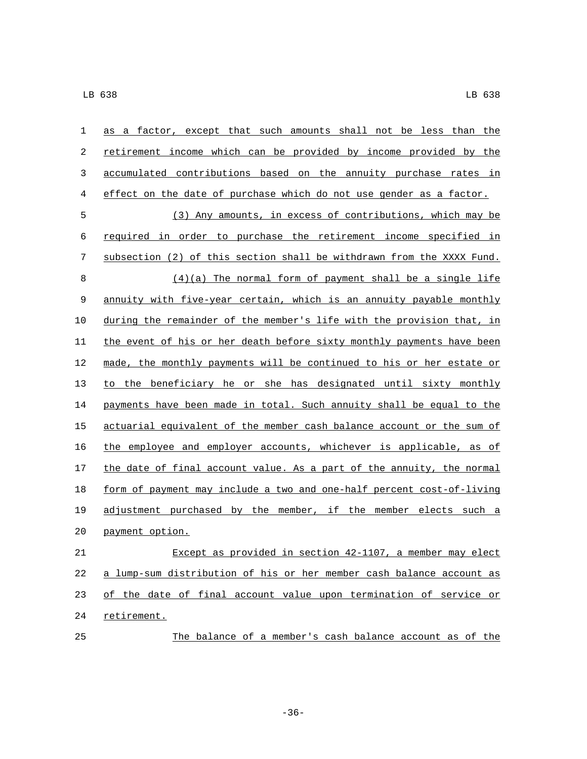| 1       | as a factor, except that such amounts shall not be less than the      |
|---------|-----------------------------------------------------------------------|
| 2       | retirement income which can be provided by income provided by the     |
| 3       | accumulated contributions based on the annuity purchase rates in      |
| 4       | effect on the date of purchase which do not use gender as a factor.   |
| 5       | (3) Any amounts, in excess of contributions, which may be             |
| 6       | required in order to purchase the retirement income specified in      |
| 7       | subsection (2) of this section shall be withdrawn from the XXXX Fund. |
| $\,8\,$ | $(4)(a)$ The normal form of payment shall be a single life            |
| 9       | annuity with five-year certain, which is an annuity payable monthly   |
| 10      | during the remainder of the member's life with the provision that, in |
| 11      | the event of his or her death before sixty monthly payments have been |
| 12      | made, the monthly payments will be continued to his or her estate or  |
| 13      | to the beneficiary he or she has designated until sixty monthly       |
| 14      | payments have been made in total. Such annuity shall be equal to the  |
| 15      | actuarial equivalent of the member cash balance account or the sum of |
| 16      | the employee and employer accounts, whichever is applicable, as of    |
| 17      | the date of final account value. As a part of the annuity, the normal |
| 18      | form of payment may include a two and one-half percent cost-of-living |
| 19      | adjustment purchased by the member, if the member elects such a       |
| 20      | payment option.                                                       |
| 21      | Except as provided in section 42-1107, a member may elect             |
| 22      | a lump-sum distribution of his or her member cash balance account as  |
| 23      | of the date of final account value upon termination of service or     |
| 24      | retirement.                                                           |
| 25      | The balance of a member's cash balance account as of the              |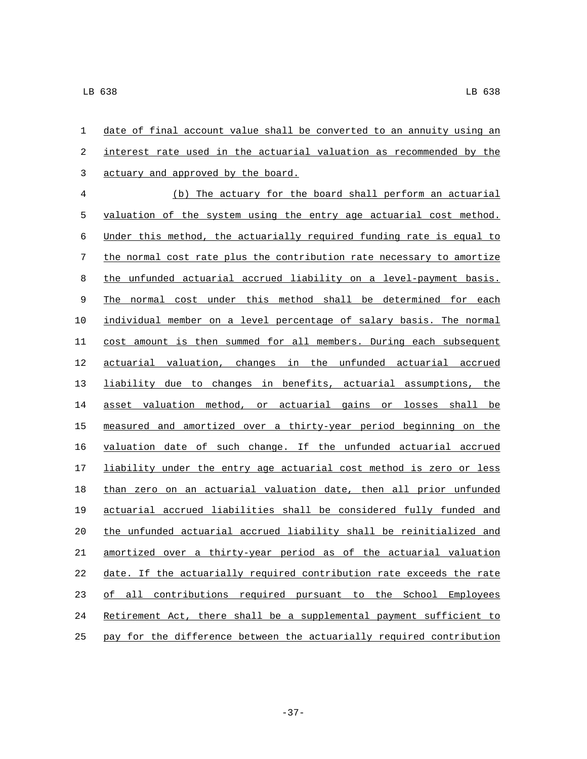| 1                | date of final account value shall be converted to an annuity using an   |
|------------------|-------------------------------------------------------------------------|
| $\boldsymbol{2}$ | interest rate used in the actuarial valuation as recommended by the     |
| 3                | actuary and approved by the board.                                      |
| $\overline{4}$   | (b) The actuary for the board shall perform an actuarial                |
| 5                | valuation of the system using the entry age actuarial cost method.      |
| 6                | Under this method, the actuarially required funding rate is equal to    |
| 7                | the normal cost rate plus the contribution rate necessary to amortize   |
| 8                | the unfunded actuarial accrued liability on a level-payment basis.      |
| 9                | The normal cost under this method shall be determined for each          |
| 10               | individual member on a level percentage of salary basis. The normal     |
| 11               | cost amount is then summed for all members. During each subsequent      |
| 12               | actuarial valuation, changes in the unfunded actuarial accrued          |
| 13               | liability due to changes in benefits, actuarial assumptions, the        |
| 14               | asset valuation method, or actuarial gains or losses shall be           |
| 15               | measured and amortized over a thirty-year period beginning on the       |
| 16               | valuation date of such change. If the unfunded actuarial accrued        |
| 17               | liability under the entry age actuarial cost method is zero or less     |
| 18               | than zero on an actuarial valuation date, then all prior unfunded       |
| 19               | actuarial accrued liabilities shall be considered fully funded and      |
| 20               | the unfunded actuarial accrued liability shall be reinitialized and     |
| 21               | amortized over a thirty-year period as of the actuarial valuation       |
| 22               | date. If the actuarially required contribution rate exceeds the rate    |
| 23               | contributions required pursuant to the School<br>of<br>all<br>Employees |
| 24               | Retirement Act, there shall be a supplemental payment sufficient to     |
| 25               | pay for the difference between the actuarially required contribution    |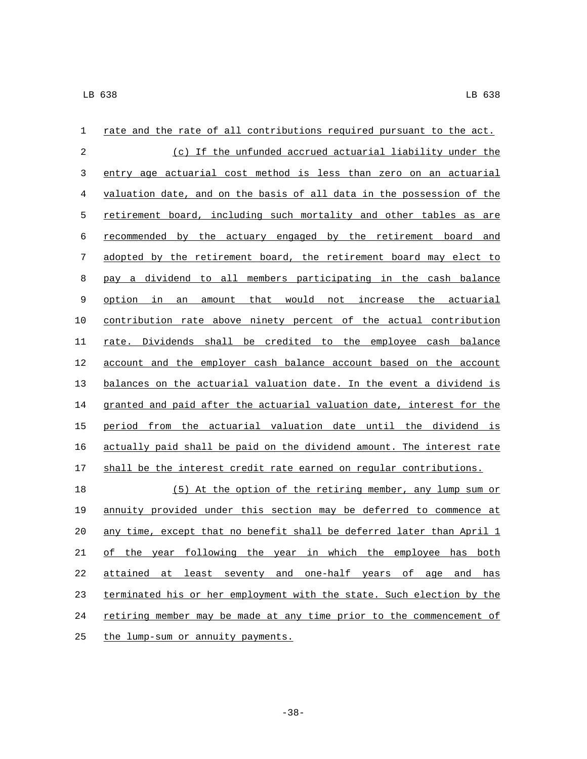| 1  | rate and the rate of all contributions required pursuant to the act.  |
|----|-----------------------------------------------------------------------|
| 2  | (c) If the unfunded accrued actuarial liability under the             |
| 3  | entry age actuarial cost method is less than zero on an actuarial     |
| 4  | valuation date, and on the basis of all data in the possession of the |
| 5  | retirement board, including such mortality and other tables as are    |
| 6  | recommended by the actuary engaged by the retirement board and        |
| 7  | adopted by the retirement board, the retirement board may elect to    |
| 8  | pay a dividend to all members participating in the cash balance       |
| 9  | option in<br>amount that would not increase the actuarial<br>an       |
| 10 | contribution rate above ninety percent of the actual contribution     |
| 11 | rate. Dividends shall be credited to the employee cash balance        |
| 12 | account and the employer cash balance account based on the account    |
| 13 | balances on the actuarial valuation date. In the event a dividend is  |
| 14 | granted and paid after the actuarial valuation date, interest for the |
| 15 | period from the actuarial valuation date until the dividend is        |
| 16 | actually paid shall be paid on the dividend amount. The interest rate |
| 17 | shall be the interest credit rate earned on regular contributions.    |
| 18 | (5) At the option of the retiring member, any lump sum or             |
| 19 | annuity provided under this section may be deferred to commence at    |
| 20 | any time, except that no benefit shall be deferred later than April 1 |
| 21 | of the year following the year in which the employee has both         |
| 22 | attained at least seventy and one-half years of age and has           |
| 23 | terminated his or her employment with the state. Such election by the |
| 24 | retiring member may be made at any time prior to the commencement of  |
| 25 | the lump-sum or annuity payments.                                     |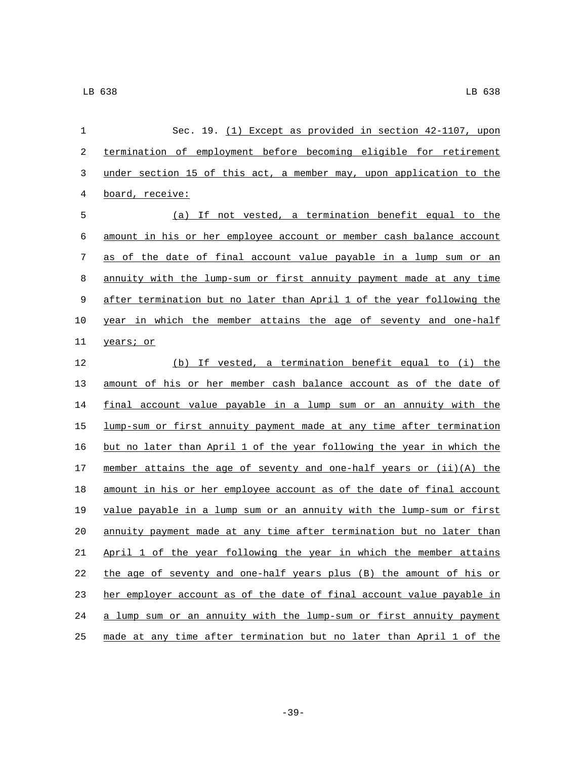| $\mathbf 1$ | Sec. 19. (1) Except as provided in section 42-1107, upon              |
|-------------|-----------------------------------------------------------------------|
| 2           | termination of employment before becoming eligible for retirement     |
| 3           | under section 15 of this act, a member may, upon application to the   |
| 4           | board, receive:                                                       |
| 5           | (a) If not vested, a termination benefit equal to the                 |
| 6           | amount in his or her employee account or member cash balance account  |
| 7           | as of the date of final account value payable in a lump sum or an     |
| 8           | annuity with the lump-sum or first annuity payment made at any time   |
| 9           | after termination but no later than April 1 of the year following the |
| 10          | year in which the member attains the age of seventy and one-half      |
| 11          | years; or                                                             |
| 12          | (b) If vested, a termination benefit equal to (i) the                 |
| 13          | amount of his or her member cash balance account as of the date of    |
| 14          | final account value payable in a lump sum or an annuity with the      |
| 15          | lump-sum or first annuity payment made at any time after termination  |
| 16          | but no later than April 1 of the year following the year in which the |
| 17          | member attains the age of seventy and one-half years or (ii) (A) the  |
| 18          | amount in his or her employee account as of the date of final account |
| 19          | value payable in a lump sum or an annuity with the lump-sum or first  |
| 20          | annuity payment made at any time after termination but no later than  |
| 21          | April 1 of the year following the year in which the member attains    |
| 22          | the age of seventy and one-half years plus (B) the amount of his or   |
| 23          | her employer account as of the date of final account value payable in |
| 24          | a lump sum or an annuity with the lump-sum or first annuity payment   |
| 25          | made at any time after termination but no later than April 1 of the   |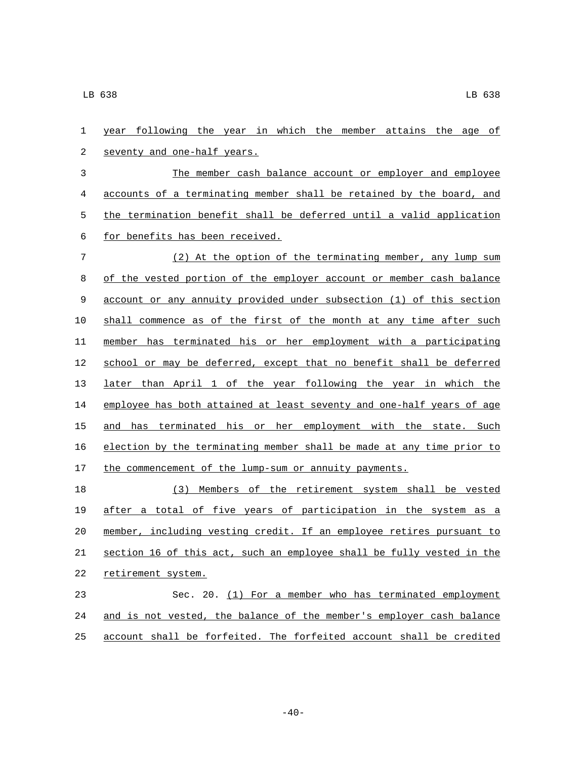year following the year in which the member attains the age of 2 seventy and one-half years. The member cash balance account or employer and employee accounts of a terminating member shall be retained by the board, and the termination benefit shall be deferred until a valid application 6 for benefits has been received. (2) At the option of the terminating member, any lump sum of the vested portion of the employer account or member cash balance account or any annuity provided under subsection (1) of this section shall commence as of the first of the month at any time after such member has terminated his or her employment with a participating school or may be deferred, except that no benefit shall be deferred later than April 1 of the year following the year in which the employee has both attained at least seventy and one-half years of age 15 and has terminated his or her employment with the state. Such election by the terminating member shall be made at any time prior to 17 the commencement of the lump-sum or annuity payments. (3) Members of the retirement system shall be vested after a total of five years of participation in the system as a member, including vesting credit. If an employee retires pursuant to section 16 of this act, such an employee shall be fully vested in the 22 retirement system. Sec. 20. (1) For a member who has terminated employment and is not vested, the balance of the member's employer cash balance account shall be forfeited. The forfeited account shall be credited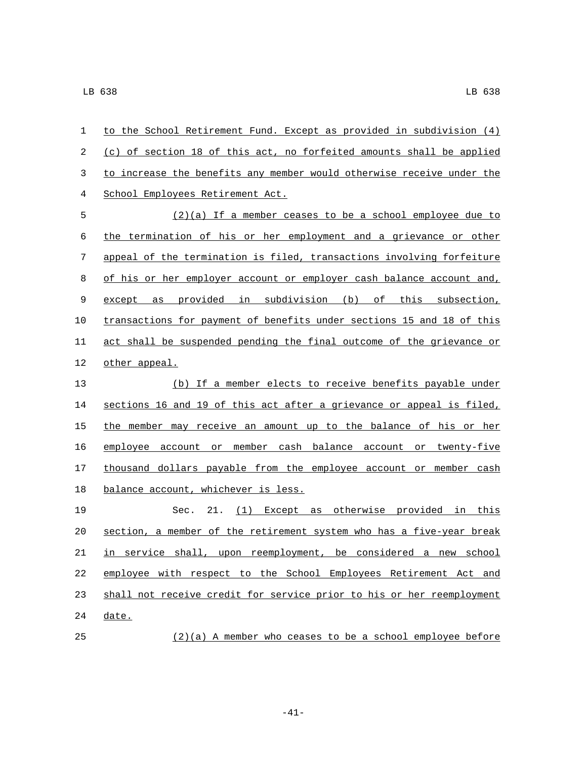| $\mathbf{1}$ | to the School Retirement Fund. Except as provided in subdivision (4)  |
|--------------|-----------------------------------------------------------------------|
| 2            | (c) of section 18 of this act, no forfeited amounts shall be applied  |
| 3            | to increase the benefits any member would otherwise receive under the |
| 4            | School Employees Retirement Act.                                      |
| 5            | (2)(a) If a member ceases to be a school employee due to              |
| 6            | the termination of his or her employment and a grievance or other     |
| 7            | appeal of the termination is filed, transactions involving forfeiture |
| 8            | of his or her employer account or employer cash balance account and,  |
| $\,9$        | except as provided in subdivision (b) of this subsection,             |
| 10           | transactions for payment of benefits under sections 15 and 18 of this |
| 11           | act shall be suspended pending the final outcome of the grievance or  |
| 12           | other appeal.                                                         |
| 13           | (b) If a member elects to receive benefits payable under              |
| 14           | sections 16 and 19 of this act after a grievance or appeal is filed,  |
| 15           | the member may receive an amount up to the balance of his or her      |
| 16           | employee account or member cash balance account or twenty-five        |
| 17           | thousand dollars payable from the employee account or member cash     |
| 18           | balance account, whichever is less.                                   |
| 19           | Sec. 21. (1) Except as otherwise provided in this                     |
| 20           | section, a member of the retirement system who has a five-year break  |
| 21           | in service shall, upon reemployment, be considered a new school       |
| 22           | employee with respect to the School Employees Retirement Act and      |
| 23           | shall not receive credit for service prior to his or her reemployment |
|              |                                                                       |

- date.
- (2)(a) A member who ceases to be a school employee before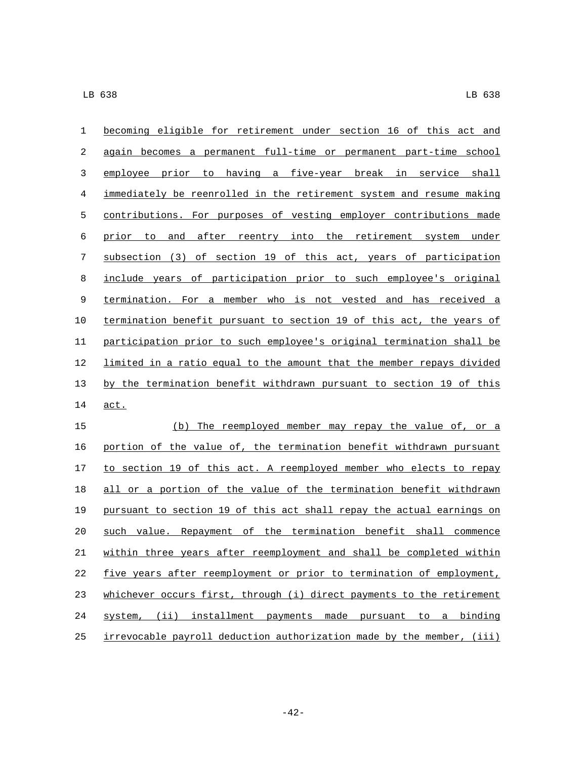| 1  | becoming eligible for retirement under section 16 of this act and     |
|----|-----------------------------------------------------------------------|
| 2  | again becomes a permanent full-time or permanent part-time school     |
| 3  | employee prior to having a five-year break in service shall           |
| 4  | immediately be reenrolled in the retirement system and resume making  |
| 5  | contributions. For purposes of vesting employer contributions made    |
| 6  | prior to and after reentry into the retirement system under           |
| 7  | subsection (3) of section 19 of this act, years of participation      |
| 8  | include years of participation prior to such employee's original      |
| 9  | termination. For a member who is not vested and has received a        |
| 10 | termination benefit pursuant to section 19 of this act, the years of  |
| 11 | participation prior to such employee's original termination shall be  |
| 12 | limited in a ratio equal to the amount that the member repays divided |
| 13 | by the termination benefit withdrawn pursuant to section 19 of this   |
| 14 | act.                                                                  |
| 15 | The reemployed member may repay the value of, or a<br>(b)             |
| 16 | portion of the value of, the termination benefit withdrawn pursuant   |
| 17 | to section 19 of this act. A reemployed member who elects to repay    |
| 18 | all or a portion of the value of the termination benefit withdrawn    |
| 19 | pursuant to section 19 of this act shall repay the actual earnings on |
| 20 | such value. Repayment of the termination benefit shall commence       |
| 21 | within three years after reemployment and shall be completed within   |

 five years after reemployment or prior to termination of employment, 23 whichever occurs first, through (i) direct payments to the retirement system, (ii) installment payments made pursuant to a binding irrevocable payroll deduction authorization made by the member, (iii)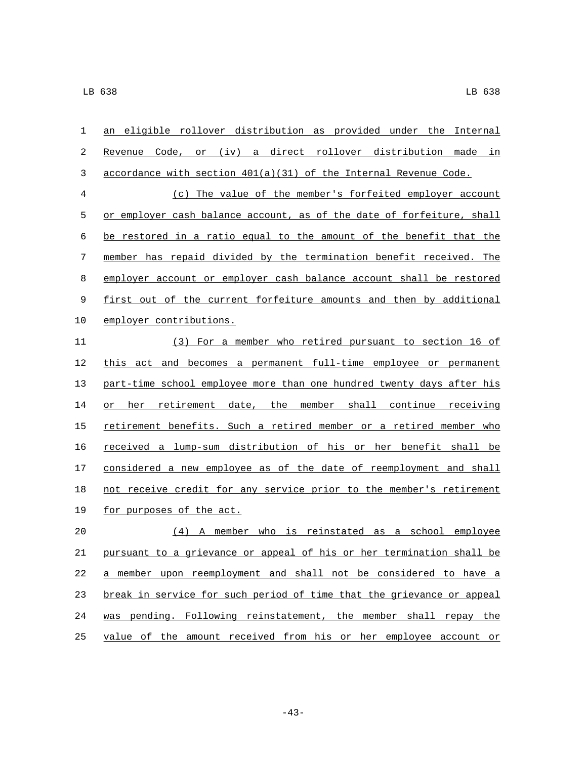| 1  | an eligible rollover distribution as provided under the Internal      |
|----|-----------------------------------------------------------------------|
| 2  | Revenue Code, or (iv) a direct rollover distribution made in          |
| 3  | accordance with section 401(a)(31) of the Internal Revenue Code.      |
| 4  | (c) The value of the member's forfeited employer account              |
| 5  | or employer cash balance account, as of the date of forfeiture, shall |
| 6  | be restored in a ratio equal to the amount of the benefit that the    |
| 7  | member has repaid divided by the termination benefit received. The    |
| 8  | employer account or employer cash balance account shall be restored   |
| 9  | first out of the current forfeiture amounts and then by additional    |
| 10 | employer contributions.                                               |
| 11 | (3) For a member who retired pursuant to section 16 of                |
| 12 | this act and becomes a permanent full-time employee or permanent      |
| 13 | part-time school employee more than one hundred twenty days after his |
| 14 | or her retirement date, the member shall continue receiving           |
| 15 | retirement benefits. Such a retired member or a retired member who    |
| 16 | received a lump-sum distribution of his or her benefit shall be       |
| 17 | considered a new employee as of the date of reemployment and shall    |
| 18 | not receive credit for any service prior to the member's retirement   |
| 19 | for purposes of the act.                                              |
| 20 | (4) A member who is reinstated as a school employee                   |
| 21 | pursuant to a grievance or appeal of his or her termination shall be  |
| 22 | a member upon reemployment and shall not be considered to have a      |
| 23 | break in service for such period of time that the grievance or appeal |
| 24 | was pending. Following reinstatement, the member shall repay the      |

value of the amount received from his or her employee account or

-43-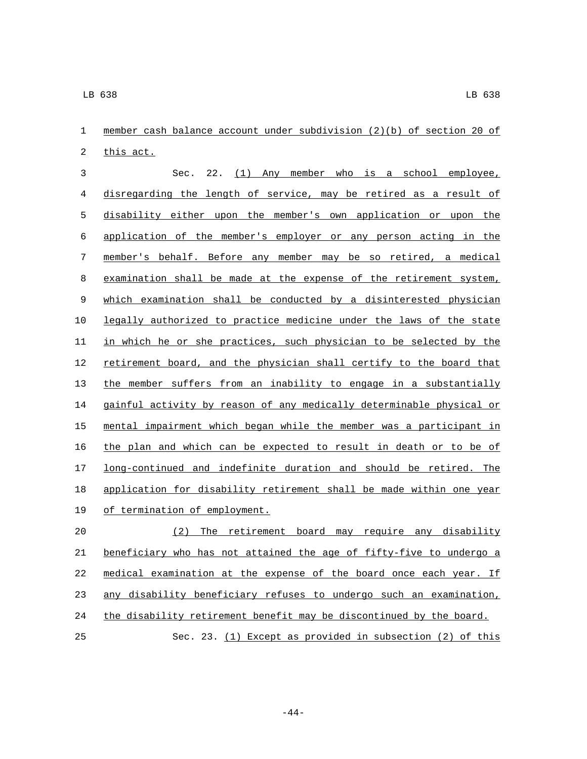| 1            | member cash balance account under subdivision (2)(b) of section 20 of |
|--------------|-----------------------------------------------------------------------|
| 2            | this act.                                                             |
| $\mathbf{3}$ | (1) Any member who is a school employee,<br>22.<br>Sec.               |
| 4            | disregarding the length of service, may be retired as a result of     |
| 5            | disability either upon the member's own application or upon the       |
| 6            | application of the member's employer or any person acting in the      |
| 7            | member's behalf. Before any member may be so retired, a medical       |
| 8            | examination shall be made at the expense of the retirement system,    |
| 9            | which examination shall be conducted by a disinterested physician     |
| 10           | legally authorized to practice medicine under the laws of the state   |
| 11           | in which he or she practices, such physician to be selected by the    |
| 12           | retirement board, and the physician shall certify to the board that   |
| 13           | the member suffers from an inability to engage in a substantially     |
| 14           | gainful activity by reason of any medically determinable physical or  |
| 15           | mental impairment which began while the member was a participant in   |
| 16           | the plan and which can be expected to result in death or to be of     |
| 17           | long-continued and indefinite duration and should be retired. The     |
| 18           | application for disability retirement shall be made within one year   |
| 19           | of termination of employment.                                         |
| 20           | (2) The retirement board may require any disability                   |
| 21           | beneficiary who has not attained the age of fifty-five to undergo a   |
| 22           | medical examination at the expense of the board once each year. If    |
| 23           | any disability beneficiary refuses to undergo such an examination,    |
| 24           | the disability retirement benefit may be discontinued by the board.   |

Sec. 23. (1) Except as provided in subsection (2) of this

-44-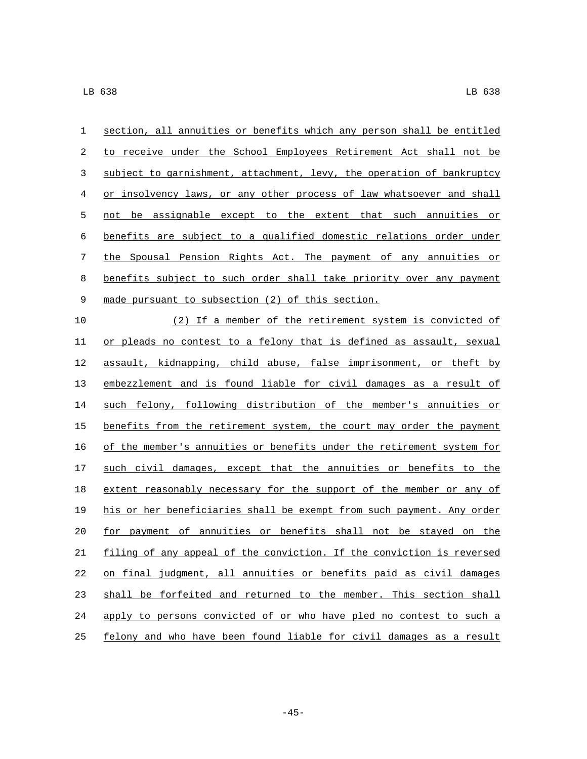| $\mathbf 1$ | section, all annuities or benefits which any person shall be entitled |
|-------------|-----------------------------------------------------------------------|
| 2           | to receive under the School Employees Retirement Act shall not be     |
| 3           | subject to garnishment, attachment, levy, the operation of bankruptcy |
| 4           | or insolvency laws, or any other process of law whatsoever and shall  |
| 5           | not be assignable except to the extent that such annuities or         |
| 6           | benefits are subject to a qualified domestic relations order under    |
| 7           | the Spousal Pension Rights Act. The payment of any annuities or       |
| 8           | benefits subject to such order shall take priority over any payment   |
| $\mathsf 9$ | made pursuant to subsection (2) of this section.                      |
| 10          | (2) If a member of the retirement system is convicted of              |
| 11          | or pleads no contest to a felony that is defined as assault, sexual   |
| 12          | assault, kidnapping, child abuse, false imprisonment, or theft by     |
| 13          | embezzlement and is found liable for civil damages as a result of     |
| 14          | such felony, following distribution of the member's annuities or      |
| 15          | benefits from the retirement system, the court may order the payment  |
| 16          | of the member's annuities or benefits under the retirement system for |
| 17          | such civil damages, except that the annuities or benefits to the      |
| 18          | extent reasonably necessary for the support of the member or any of   |
| 19          | his or her beneficiaries shall be exempt from such payment. Any order |
| 20          | for payment of annuities or benefits shall not be stayed on the       |
| 21          | filing of any appeal of the conviction. If the conviction is reversed |
| 22          | on final judgment, all annuities or benefits paid as civil damages    |
| 23          | shall be forfeited and returned to the member. This section shall     |
| 24          | apply to persons convicted of or who have pled no contest to such a   |
| 25          | felony and who have been found liable for civil damages as a result   |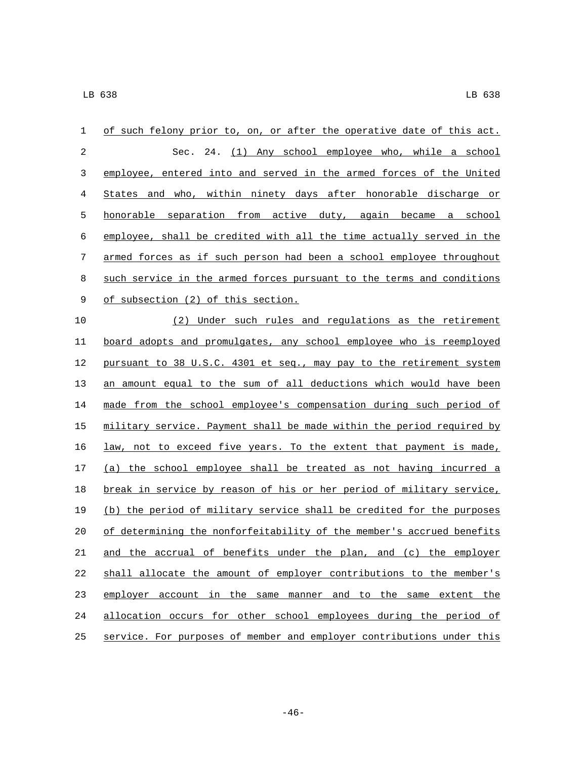| 1  | of such felony prior to, on, or after the operative date of this act. |
|----|-----------------------------------------------------------------------|
| 2  | Sec. 24. (1) Any school employee who, while a school                  |
| 3  | employee, entered into and served in the armed forces of the United   |
| 4  | States and who, within ninety days after honorable discharge or       |
| 5  | honorable separation from active duty, again became a school          |
| 6  | employee, shall be credited with all the time actually served in the  |
| 7  | armed forces as if such person had been a school employee throughout  |
| 8  | such service in the armed forces pursuant to the terms and conditions |
| 9  | of subsection (2) of this section.                                    |
| 10 | (2) Under such rules and regulations as the retirement                |
| 11 | board adopts and promulgates, any school employee who is reemployed   |
| 12 | pursuant to 38 U.S.C. 4301 et seq., may pay to the retirement system  |
| 13 | an amount equal to the sum of all deductions which would have been    |
| 14 | made from the school employee's compensation during such period of    |
| 15 | military service. Payment shall be made within the period required by |
| 16 | law, not to exceed five years. To the extent that payment is made,    |
| 17 | (a) the school employee shall be treated as not having incurred a     |
| 18 | break in service by reason of his or her period of military service,  |
| 19 | (b) the period of military service shall be credited for the purposes |
| 20 | of determining the nonforfeitability of the member's accrued benefits |
| 21 | and the accrual of benefits under the plan, and (c) the employer      |
| 22 | shall allocate the amount of employer contributions to the member's   |
| 23 | employer account in the same manner and to the same extent the        |
| 24 | allocation occurs for other school employees during the period of     |
| 25 | service. For purposes of member and employer contributions under this |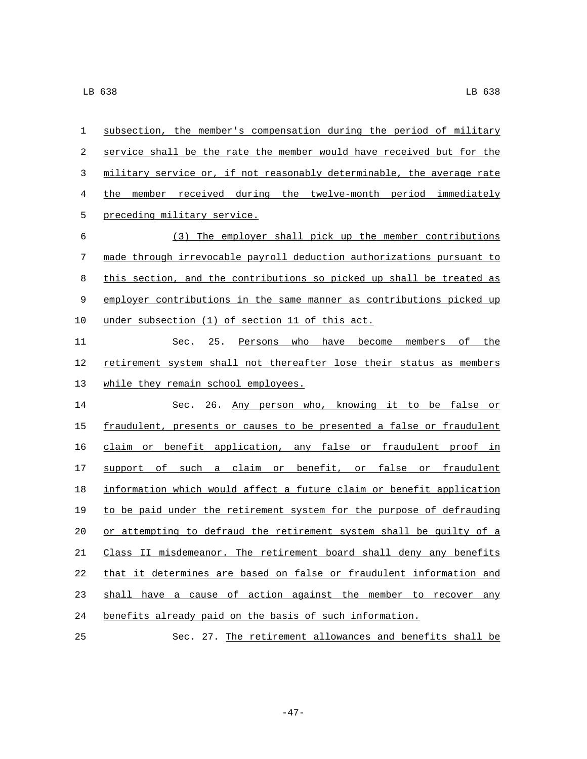| 1  | subsection, the member's compensation during the period of military   |
|----|-----------------------------------------------------------------------|
| 2  | service shall be the rate the member would have received but for the  |
| 3  | military service or, if not reasonably determinable, the average rate |
| 4  | the member received during the twelve-month period immediately        |
| 5  | preceding military service.                                           |
| 6  | (3) The employer shall pick up the member contributions               |
| 7  | made through irrevocable payroll deduction authorizations pursuant to |
| 8  | this section, and the contributions so picked up shall be treated as  |
| 9  | employer contributions in the same manner as contributions picked up  |
| 10 | under subsection (1) of section 11 of this act.                       |
| 11 | 25.<br>who<br>have<br>become members<br>of the<br>Sec.<br>Persons     |
| 12 | retirement system shall not thereafter lose their status as members   |
| 13 | while they remain school employees.                                   |
| 14 | Sec. 26. Any person who, knowing it to be false or                    |
| 15 | fraudulent, presents or causes to be presented a false or fraudulent  |
| 16 | claim or benefit application, any false or fraudulent proof in        |
| 17 | such a claim or benefit, or false or fraudulent<br>support of         |
| 18 | information which would affect a future claim or benefit application  |
| 19 | to be paid under the retirement system for the purpose of defrauding  |
| 20 | or attempting to defraud the retirement system shall be guilty of a   |
| 21 | Class II misdemeanor. The retirement board shall deny any benefits    |
| 22 | that it determines are based on false or fraudulent information and   |
| 23 | shall have a cause of action against the member to recover any        |
| 24 | benefits already paid on the basis of such information.               |
| 25 | Sec. 27. The retirement allowances and benefits shall be              |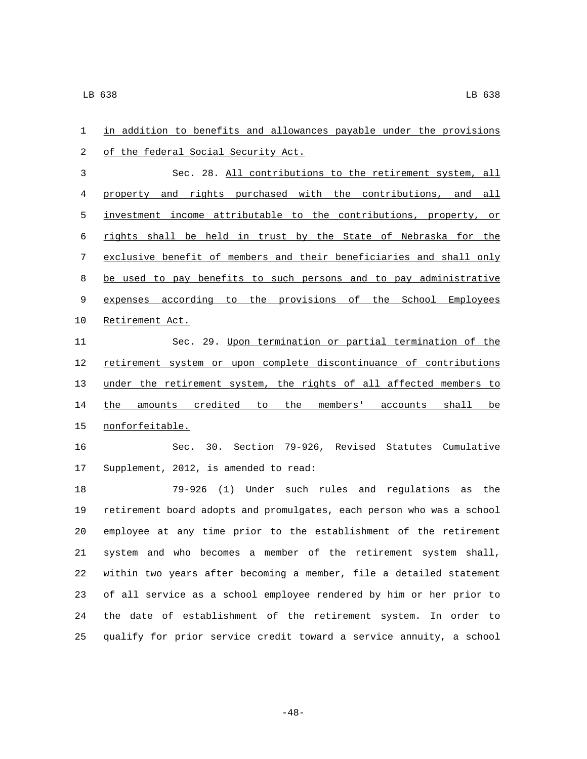| 1  | in addition to benefits and allowances payable under the provisions   |
|----|-----------------------------------------------------------------------|
| 2  | of the federal Social Security Act.                                   |
| 3  | Sec. 28. All contributions to the retirement system, all              |
| 4  | property and rights purchased with the contributions, and all         |
| 5  | investment income attributable to the contributions, property, or     |
| 6  | rights shall be held in trust by the State of Nebraska for the        |
| 7  | exclusive benefit of members and their beneficiaries and shall only   |
| 8  | be used to pay benefits to such persons and to pay administrative     |
| 9  | expenses according to the provisions of the School Employees          |
| 10 | Retirement Act.                                                       |
| 11 | Sec. 29. Upon termination or partial termination of the               |
| 12 | retirement system or upon complete discontinuance of contributions    |
| 13 | under the retirement system, the rights of all affected members to    |
| 14 | the amounts credited to the members' accounts shall be                |
| 15 | nonforfeitable.                                                       |
| 16 | Sec. 30. Section 79-926, Revised Statutes Cumulative                  |
| 17 | Supplement, 2012, is amended to read:                                 |
| 18 | $79 - 926$ (1)<br>Under such rules and regulations<br>as the          |
| 19 | retirement board adopts and promulgates, each person who was a school |
| 20 | employee at any time prior to the establishment of the retirement     |
| 21 | system and who becomes a member of the retirement system shall,       |
| 22 | within two years after becoming a member, file a detailed statement   |
| 23 | of all service as a school employee rendered by him or her prior to   |
| 24 | the date of establishment of the retirement system. In order to       |
| 25 | qualify for prior service credit toward a service annuity, a school   |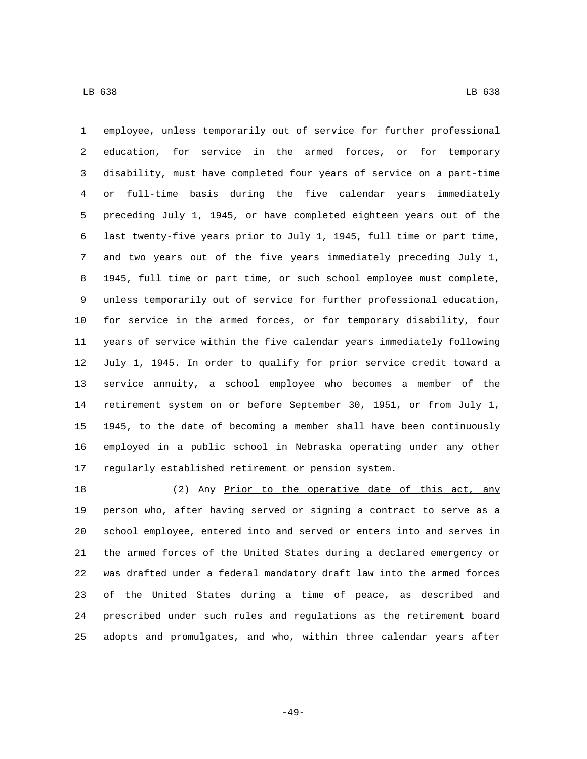employee, unless temporarily out of service for further professional education, for service in the armed forces, or for temporary disability, must have completed four years of service on a part-time or full-time basis during the five calendar years immediately preceding July 1, 1945, or have completed eighteen years out of the last twenty-five years prior to July 1, 1945, full time or part time, and two years out of the five years immediately preceding July 1, 1945, full time or part time, or such school employee must complete, unless temporarily out of service for further professional education, for service in the armed forces, or for temporary disability, four years of service within the five calendar years immediately following July 1, 1945. In order to qualify for prior service credit toward a service annuity, a school employee who becomes a member of the retirement system on or before September 30, 1951, or from July 1, 1945, to the date of becoming a member shall have been continuously employed in a public school in Nebraska operating under any other regularly established retirement or pension system.

18 (2) Any Prior to the operative date of this act, any person who, after having served or signing a contract to serve as a school employee, entered into and served or enters into and serves in the armed forces of the United States during a declared emergency or was drafted under a federal mandatory draft law into the armed forces of the United States during a time of peace, as described and prescribed under such rules and regulations as the retirement board adopts and promulgates, and who, within three calendar years after

-49-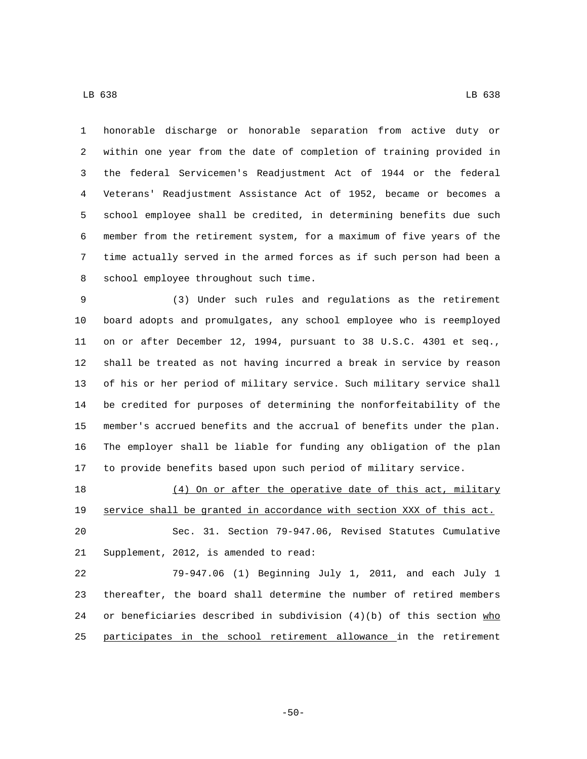honorable discharge or honorable separation from active duty or within one year from the date of completion of training provided in the federal Servicemen's Readjustment Act of 1944 or the federal Veterans' Readjustment Assistance Act of 1952, became or becomes a school employee shall be credited, in determining benefits due such member from the retirement system, for a maximum of five years of the time actually served in the armed forces as if such person had been a 8 school employee throughout such time.

 (3) Under such rules and regulations as the retirement board adopts and promulgates, any school employee who is reemployed on or after December 12, 1994, pursuant to 38 U.S.C. 4301 et seq., shall be treated as not having incurred a break in service by reason of his or her period of military service. Such military service shall be credited for purposes of determining the nonforfeitability of the member's accrued benefits and the accrual of benefits under the plan. The employer shall be liable for funding any obligation of the plan to provide benefits based upon such period of military service.

18 (4) On or after the operative date of this act, military service shall be granted in accordance with section XXX of this act. Sec. 31. Section 79-947.06, Revised Statutes Cumulative

21 Supplement, 2012, is amended to read:

 79-947.06 (1) Beginning July 1, 2011, and each July 1 thereafter, the board shall determine the number of retired members 24 or beneficiaries described in subdivision  $(4)(b)$  of this section who participates in the school retirement allowance in the retirement

-50-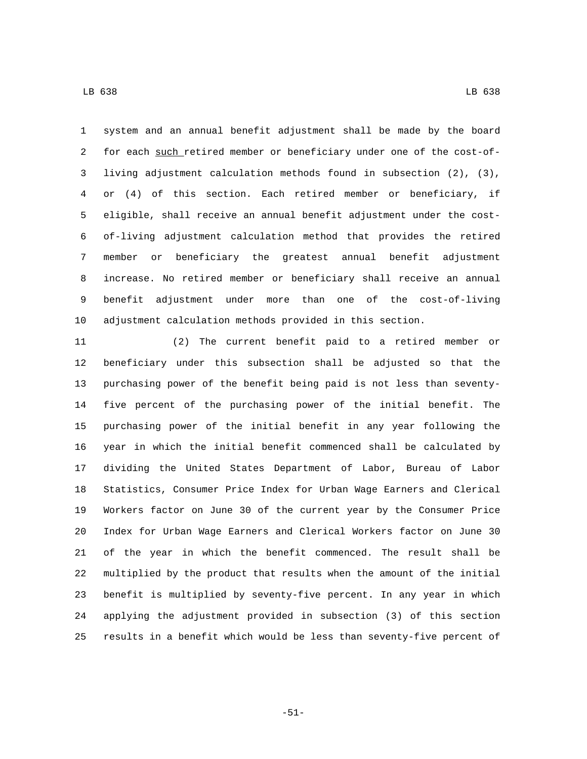system and an annual benefit adjustment shall be made by the board 2 for each such retired member or beneficiary under one of the cost-of- living adjustment calculation methods found in subsection (2), (3), or (4) of this section. Each retired member or beneficiary, if eligible, shall receive an annual benefit adjustment under the cost- of-living adjustment calculation method that provides the retired member or beneficiary the greatest annual benefit adjustment increase. No retired member or beneficiary shall receive an annual benefit adjustment under more than one of the cost-of-living adjustment calculation methods provided in this section.

 (2) The current benefit paid to a retired member or beneficiary under this subsection shall be adjusted so that the purchasing power of the benefit being paid is not less than seventy- five percent of the purchasing power of the initial benefit. The purchasing power of the initial benefit in any year following the year in which the initial benefit commenced shall be calculated by dividing the United States Department of Labor, Bureau of Labor Statistics, Consumer Price Index for Urban Wage Earners and Clerical Workers factor on June 30 of the current year by the Consumer Price Index for Urban Wage Earners and Clerical Workers factor on June 30 of the year in which the benefit commenced. The result shall be multiplied by the product that results when the amount of the initial benefit is multiplied by seventy-five percent. In any year in which applying the adjustment provided in subsection (3) of this section results in a benefit which would be less than seventy-five percent of

-51-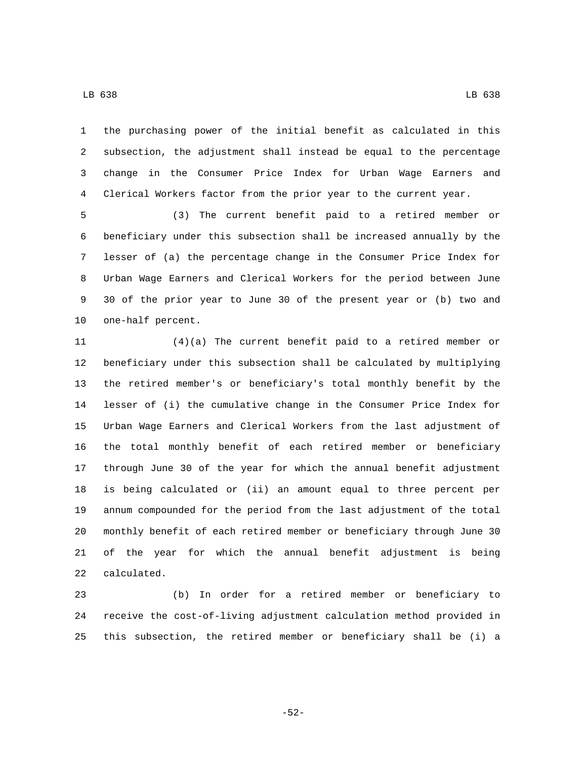the purchasing power of the initial benefit as calculated in this subsection, the adjustment shall instead be equal to the percentage change in the Consumer Price Index for Urban Wage Earners and Clerical Workers factor from the prior year to the current year.

 (3) The current benefit paid to a retired member or beneficiary under this subsection shall be increased annually by the lesser of (a) the percentage change in the Consumer Price Index for Urban Wage Earners and Clerical Workers for the period between June 30 of the prior year to June 30 of the present year or (b) two and 10 one-half percent.

 (4)(a) The current benefit paid to a retired member or beneficiary under this subsection shall be calculated by multiplying the retired member's or beneficiary's total monthly benefit by the lesser of (i) the cumulative change in the Consumer Price Index for Urban Wage Earners and Clerical Workers from the last adjustment of the total monthly benefit of each retired member or beneficiary through June 30 of the year for which the annual benefit adjustment is being calculated or (ii) an amount equal to three percent per annum compounded for the period from the last adjustment of the total monthly benefit of each retired member or beneficiary through June 30 of the year for which the annual benefit adjustment is being 22 calculated.

 (b) In order for a retired member or beneficiary to receive the cost-of-living adjustment calculation method provided in this subsection, the retired member or beneficiary shall be (i) a

-52-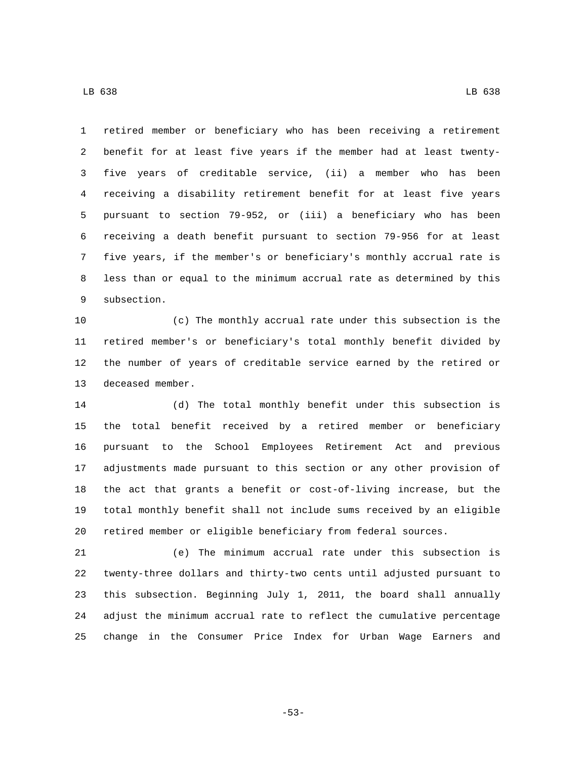retired member or beneficiary who has been receiving a retirement benefit for at least five years if the member had at least twenty- five years of creditable service, (ii) a member who has been receiving a disability retirement benefit for at least five years pursuant to section 79-952, or (iii) a beneficiary who has been receiving a death benefit pursuant to section 79-956 for at least five years, if the member's or beneficiary's monthly accrual rate is less than or equal to the minimum accrual rate as determined by this 9 subsection.

 (c) The monthly accrual rate under this subsection is the retired member's or beneficiary's total monthly benefit divided by the number of years of creditable service earned by the retired or 13 deceased member.

 (d) The total monthly benefit under this subsection is the total benefit received by a retired member or beneficiary pursuant to the School Employees Retirement Act and previous adjustments made pursuant to this section or any other provision of the act that grants a benefit or cost-of-living increase, but the total monthly benefit shall not include sums received by an eligible retired member or eligible beneficiary from federal sources.

 (e) The minimum accrual rate under this subsection is twenty-three dollars and thirty-two cents until adjusted pursuant to this subsection. Beginning July 1, 2011, the board shall annually adjust the minimum accrual rate to reflect the cumulative percentage change in the Consumer Price Index for Urban Wage Earners and

-53-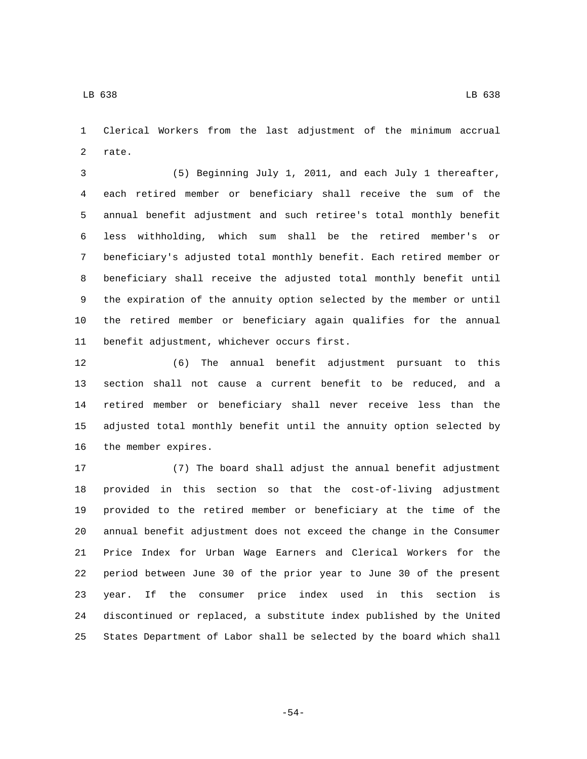Clerical Workers from the last adjustment of the minimum accrual 2 rate.

 (5) Beginning July 1, 2011, and each July 1 thereafter, each retired member or beneficiary shall receive the sum of the annual benefit adjustment and such retiree's total monthly benefit less withholding, which sum shall be the retired member's or beneficiary's adjusted total monthly benefit. Each retired member or beneficiary shall receive the adjusted total monthly benefit until the expiration of the annuity option selected by the member or until the retired member or beneficiary again qualifies for the annual 11 benefit adjustment, whichever occurs first.

 (6) The annual benefit adjustment pursuant to this section shall not cause a current benefit to be reduced, and a retired member or beneficiary shall never receive less than the adjusted total monthly benefit until the annuity option selected by 16 the member expires.

 (7) The board shall adjust the annual benefit adjustment provided in this section so that the cost-of-living adjustment provided to the retired member or beneficiary at the time of the annual benefit adjustment does not exceed the change in the Consumer Price Index for Urban Wage Earners and Clerical Workers for the period between June 30 of the prior year to June 30 of the present year. If the consumer price index used in this section is discontinued or replaced, a substitute index published by the United States Department of Labor shall be selected by the board which shall

-54-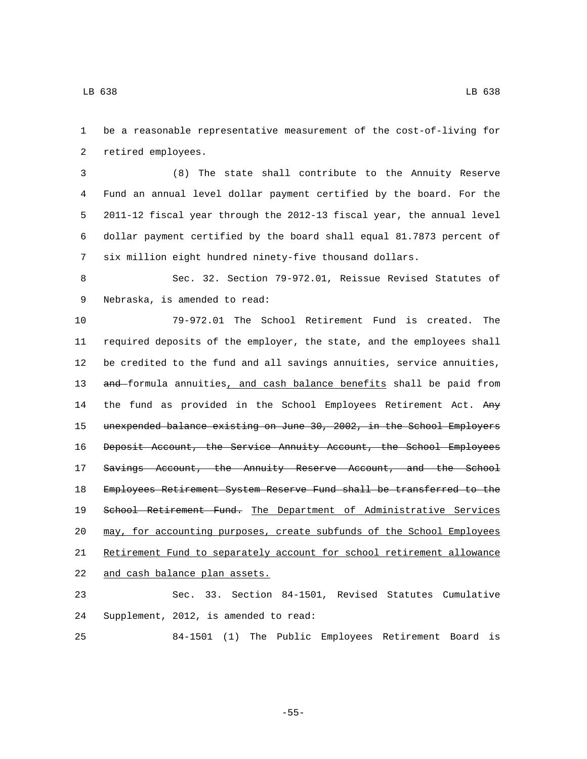be a reasonable representative measurement of the cost-of-living for 2 retired employees.

 (8) The state shall contribute to the Annuity Reserve Fund an annual level dollar payment certified by the board. For the 2011-12 fiscal year through the 2012-13 fiscal year, the annual level dollar payment certified by the board shall equal 81.7873 percent of six million eight hundred ninety-five thousand dollars.

 Sec. 32. Section 79-972.01, Reissue Revised Statutes of 9 Nebraska, is amended to read:

 79-972.01 The School Retirement Fund is created. The required deposits of the employer, the state, and the employees shall be credited to the fund and all savings annuities, service annuities, 13 and formula annuities, and cash balance benefits shall be paid from 14 the fund as provided in the School Employees Retirement Act. Any unexpended balance existing on June 30, 2002, in the School Employers Deposit Account, the Service Annuity Account, the School Employees 17 Savings Account, the Annuity Reserve Account, and the School Employees Retirement System Reserve Fund shall be transferred to the 19 School Retirement Fund. The Department of Administrative Services may, for accounting purposes, create subfunds of the School Employees Retirement Fund to separately account for school retirement allowance 22 and cash balance plan assets.

 Sec. 33. Section 84-1501, Revised Statutes Cumulative 24 Supplement, 2012, is amended to read:

84-1501 (1) The Public Employees Retirement Board is

-55-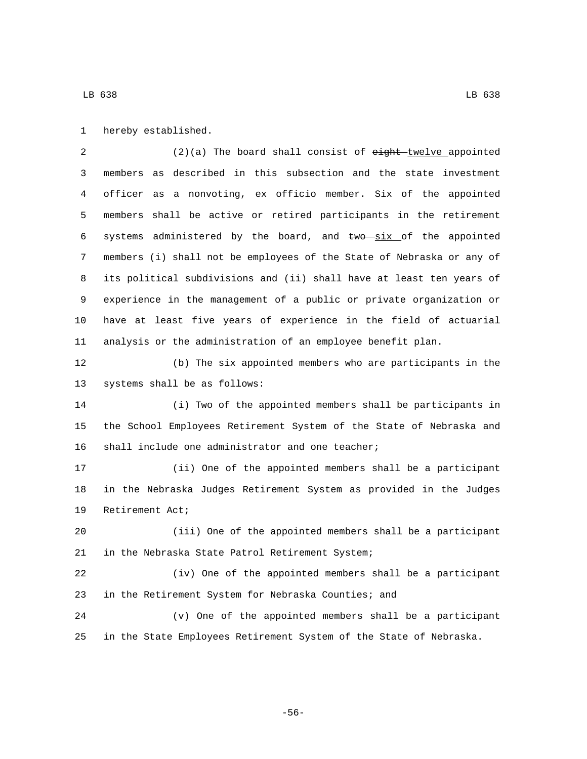1 hereby established.

2 (2)(a) The board shall consist of eight-twelve appointed members as described in this subsection and the state investment officer as a nonvoting, ex officio member. Six of the appointed members shall be active or retired participants in the retirement 6 systems administered by the board, and  $\frac{1}{2}$  the appointed members (i) shall not be employees of the State of Nebraska or any of its political subdivisions and (ii) shall have at least ten years of experience in the management of a public or private organization or have at least five years of experience in the field of actuarial analysis or the administration of an employee benefit plan.

 (b) The six appointed members who are participants in the 13 systems shall be as follows:

 (i) Two of the appointed members shall be participants in the School Employees Retirement System of the State of Nebraska and 16 shall include one administrator and one teacher;

 (ii) One of the appointed members shall be a participant in the Nebraska Judges Retirement System as provided in the Judges 19 Retirement Act;

 (iii) One of the appointed members shall be a participant 21 in the Nebraska State Patrol Retirement System;

 (iv) One of the appointed members shall be a participant in the Retirement System for Nebraska Counties; and

 (v) One of the appointed members shall be a participant in the State Employees Retirement System of the State of Nebraska.

-56-